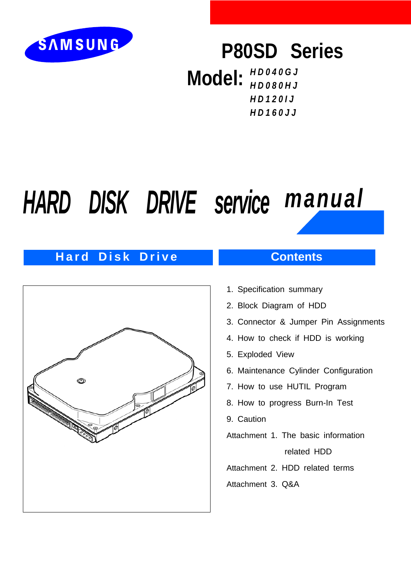

## **P80SD Series**

**Model:** *HD040GJ HD080HJ HD120IJ HD160JJ*

# *HARD DISK DRIVE service manual*

## **Hard Disk Drive Contents**



- 1. Specification summary
- 2. Block Diagram of HDD
- 3. Connector & Jumper Pin Assignments
- 4. How to check if HDD is working
- 5. Exploded View
- 6. Maintenance Cylinder Configuration
- 7. How to use HUTIL Program
- 8. How to progress Burn-In Test
- 9. Caution
- Attachment 1. The basic information

related HDD

Attachment 2. HDD related terms

Attachment 3. Q&A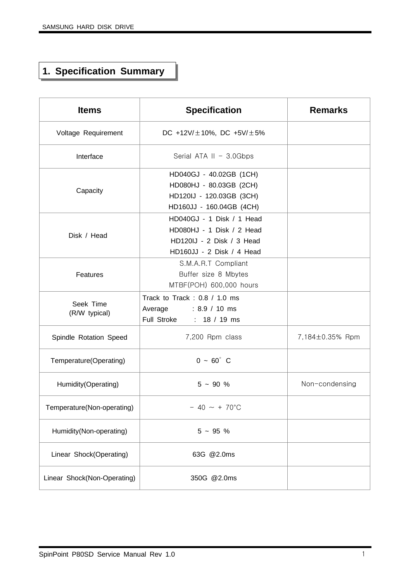## **1. Specification Summary**

| <b>Items</b>                | <b>Specification</b>                                                                                             | <b>Remarks</b>  |
|-----------------------------|------------------------------------------------------------------------------------------------------------------|-----------------|
| Voltage Requirement         | DC +12V/ $\pm$ 10%, DC +5V/ $\pm$ 5%                                                                             |                 |
| Interface                   | Serial ATA II - 3.0Gbps                                                                                          |                 |
| Capacity                    | HD040GJ - 40.02GB (1CH)<br>HD080HJ - 80.03GB (2CH)<br>HD120IJ - 120.03GB (3CH)<br>HD160JJ - 160.04GB (4CH)       |                 |
| Disk / Head                 | HD040GJ - 1 Disk / 1 Head<br>HD080HJ - 1 Disk / 2 Head<br>HD120IJ - 2 Disk / 3 Head<br>HD160JJ - 2 Disk / 4 Head |                 |
| Features                    | S.M.A.R.T Compliant<br>Buffer size 8 Mbytes<br>MTBF(POH) 600,000 hours                                           |                 |
| Seek Time<br>(R/W typical)  | Track to Track: 0.8 / 1.0 ms<br>$: 8.9 / 10 \text{ ms}$<br>Average<br>Full Stroke : 18 / 19 ms                   |                 |
| Spindle Rotation Speed      | 7,200 Rpm class                                                                                                  | 7,184±0.35% Rpm |
| Temperature(Operating)      | $0 - 60^{\circ}$ C                                                                                               |                 |
| Humidity(Operating)         | $5 - 90 %$                                                                                                       | Non-condensing  |
| Temperature(Non-operating)  | $-40 \sim +70^{\circ}$ C                                                                                         |                 |
| Humidity(Non-operating)     | $5 - 95 %$                                                                                                       |                 |
| Linear Shock(Operating)     | 63G @2.0ms                                                                                                       |                 |
| Linear Shock(Non-Operating) | 350G @2.0ms                                                                                                      |                 |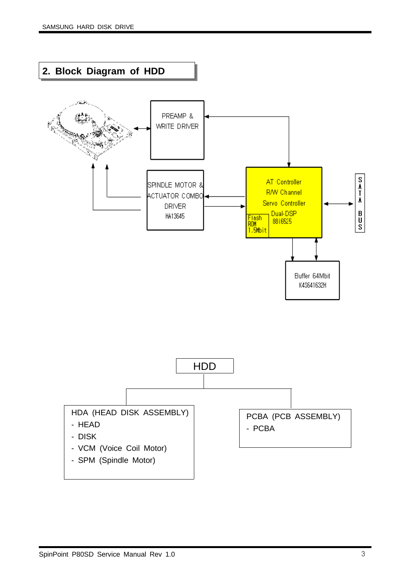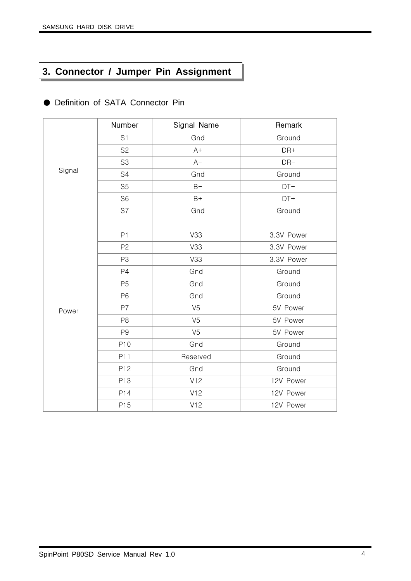## **3. Connector / Jumper Pin Assignment**

|        | Number         | Signal Name    | Remark     |
|--------|----------------|----------------|------------|
|        | S <sub>1</sub> | Gnd            | Ground     |
|        | S <sub>2</sub> | $A+$           | DR+        |
|        | S <sub>3</sub> | $A-$           | $DR-$      |
| Signal | S4             | Gnd            | Ground     |
|        | S <sub>5</sub> | $B -$          | $DT-$      |
|        | S <sub>6</sub> | $B+$           | DT+        |
|        | S7             | Gnd            | Ground     |
|        |                |                |            |
|        | P1             | V33            | 3.3V Power |
|        | P <sub>2</sub> | V33            | 3.3V Power |
|        | P <sub>3</sub> | V33            | 3.3V Power |
|        | P4             | Gnd            | Ground     |
|        | P <sub>5</sub> | Gnd            | Ground     |
|        | P <sub>6</sub> | Gnd            | Ground     |
| Power  | P7             | V <sub>5</sub> | 5V Power   |
|        | P <sub>8</sub> | V <sub>5</sub> | 5V Power   |
|        | P <sub>9</sub> | V <sub>5</sub> | 5V Power   |
|        | P10            | Gnd            | Ground     |
|        | P11            | Reserved       | Ground     |
|        | P12            | Gnd            | Ground     |
|        | P13            | V12            | 12V Power  |
|        | P14            | V12            | 12V Power  |
|        | P15            | V12            | 12V Power  |

● Definition of SATA Connector Pin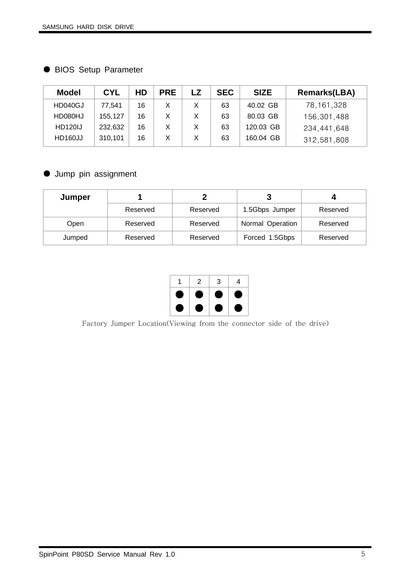● BIOS Setup Parameter

| <b>Model</b>   | <b>CYL</b> | <b>HD</b> | <b>PRE</b> | LZ | <b>SEC</b> | <b>SIZE</b> | <b>Remarks(LBA)</b> |
|----------------|------------|-----------|------------|----|------------|-------------|---------------------|
| HD040GJ        | 77.541     | 16        |            |    | 63         | 40.02 GB    | 78,161,328          |
| HD080HJ        | 155,127    | 16        |            | X  | 63         | 80.03 GB    | 156,301,488         |
| <b>HD120IJ</b> | 232,632    | 16        |            | X  | 63         | 120.03 GB   | 234,441,648         |
| HD160JJ        | 310,101    | 16        |            | X  | 63         | 160.04 GB   | 312,581,808         |

● Jump pin assignment

| Jumper |          |          |                  |          |
|--------|----------|----------|------------------|----------|
|        | Reserved | Reserved | 1.5Gbps Jumper   | Reserved |
| Open   | Reserved | Reserved | Normal Operation | Reserved |
| Jumped | Reserved | Reserved | Forced 1.5Gbps   | Reserved |



Factory Jumper Location(Viewing from the connector side of the drive)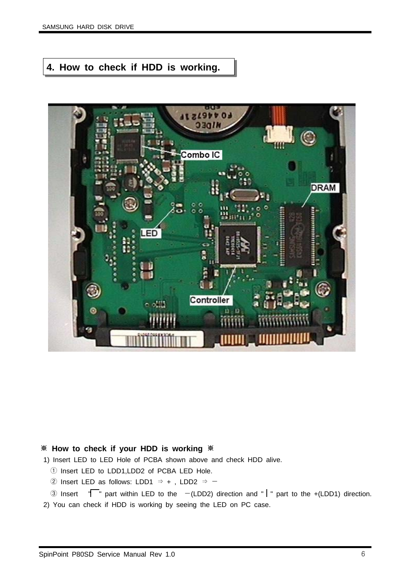### **4. How to check if HDD is working.**



#### ※ **How to check if your HDD is working** ※

1) Insert LED to LED Hole of PCBA shown above and check HDD alive.

- ① Insert LED to LDD1,LDD2 of PCBA LED Hole.
- ② Insert LED as follows: LDD1  $\Rightarrow$  +, LDD2  $\Rightarrow$  -
- 3 Insert  $\sqrt{\ }$  part within LED to the  $-(LDD2)$  direction and "  $\sqrt{\ }$  part to the +(LDD1) direction.
- 2) You can check if HDD is working by seeing the LED on PC case.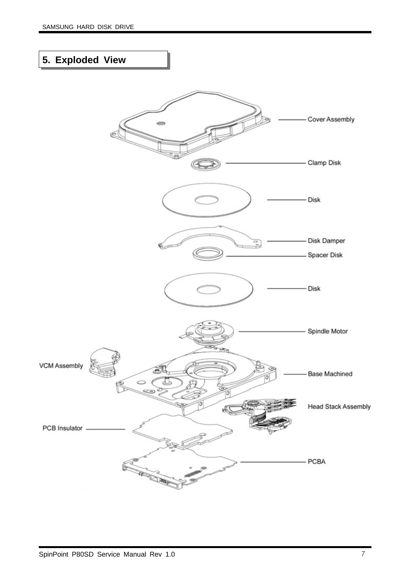## **5. Exploded View**

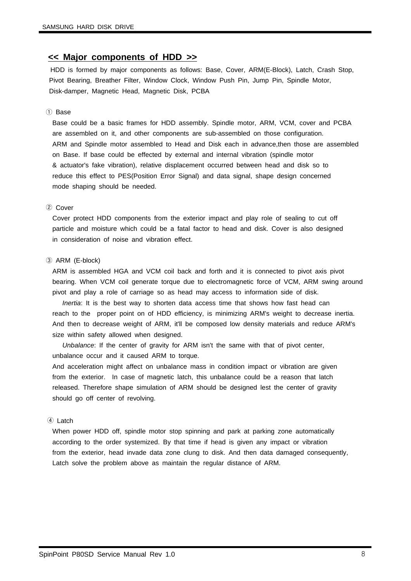#### **<< Major components of HDD >>**

HDD is formed by major components as follows: Base, Cover, ARM(E-Block), Latch, Crash Stop, Pivot Bearing, Breather Filter, Window Clock, Window Push Pin, Jump Pin, Spindle Motor, Disk-damper, Magnetic Head, Magnetic Disk, PCBA

#### ① Base

Base could be a basic frames for HDD assembly. Spindle motor, ARM, VCM, cover and PCBA are assembled on it, and other components are sub-assembled on those configuration. ARM and Spindle motor assembled to Head and Disk each in advance,then those are assembled on Base. If base could be effected by external and internal vibration (spindle motor & actuator's fake vibration), relative displacement occurred between head and disk so to reduce this effect to PES(Position Error Signal) and data signal, shape design concerned mode shaping should be needed.

#### ② Cover

Cover protect HDD components from the exterior impact and play role of sealing to cut off particle and moisture which could be a fatal factor to head and disk. Cover is also designed in consideration of noise and vibration effect.

#### ③ ARM (E-block)

ARM is assembled HGA and VCM coil back and forth and it is connected to pivot axis pivot bearing. When VCM coil generate torque due to electromagnetic force of VCM, ARM swing around pivot and play a role of carriage so as head may access to information side of disk.

*Inertia*: It is the best way to shorten data access time that shows how fast head can reach to the proper point on of HDD efficiency, is minimizing ARM's weight to decrease inertia. And then to decrease weight of ARM, it'll be composed low density materials and reduce ARM's size within safety allowed when designed.

*Unbalance*: If the center of gravity for ARM isn't the same with that of pivot center, unbalance occur and it caused ARM to torque.

And acceleration might affect on unbalance mass in condition impact or vibration are given from the exterior. In case of magnetic latch, this unbalance could be a reason that latch released. Therefore shape simulation of ARM should be designed lest the center of gravity should go off center of revolving.

#### ④ Latch

When power HDD off, spindle motor stop spinning and park at parking zone automatically according to the order systemized. By that time if head is given any impact or vibration from the exterior, head invade data zone clung to disk. And then data damaged consequently, Latch solve the problem above as maintain the regular distance of ARM.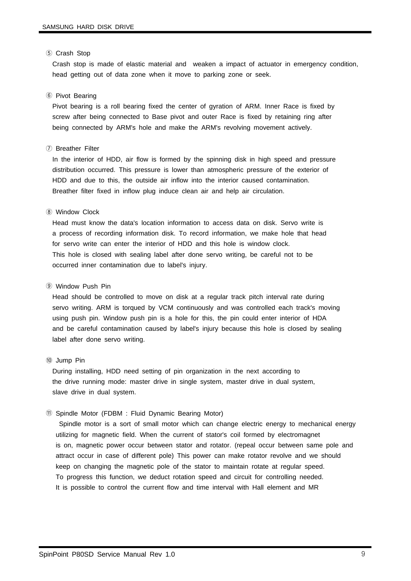#### ⑤ Crash Stop

Crash stop is made of elastic material and weaken a impact of actuator in emergency condition, head getting out of data zone when it move to parking zone or seek.

#### ⑥ Pivot Bearing

Pivot bearing is a roll bearing fixed the center of gyration of ARM. Inner Race is fixed by screw after being connected to Base pivot and outer Race is fixed by retaining ring after being connected by ARM's hole and make the ARM's revolving movement actively.

#### ⑦ Breather Filter

In the interior of HDD, air flow is formed by the spinning disk in high speed and pressure distribution occurred. This pressure is lower than atmospheric pressure of the exterior of HDD and due to this, the outside air inflow into the interior caused contamination. Breather filter fixed in inflow plug induce clean air and help air circulation.

#### ⑧ Window Clock

Head must know the data's location information to access data on disk. Servo write is a process of recording information disk. To record information, we make hole that head for servo write can enter the interior of HDD and this hole is window clock. This hole is closed with sealing label after done servo writing, be careful not to be occurred inner contamination due to label's injury.

#### ⑨ Window Push Pin

Head should be controlled to move on disk at a regular track pitch interval rate during servo writing. ARM is torqued by VCM continuously and was controlled each track's moving using push pin. Window push pin is a hole for this, the pin could enter interior of HDA and be careful contamination caused by label's injury because this hole is closed by sealing label after done servo writing.

#### ⑩ Jump Pin

During installing, HDD need setting of pin organization in the next according to the drive running mode: master drive in single system, master drive in dual system, slave drive in dual system.

#### ⑪ Spindle Motor (FDBM : Fluid Dynamic Bearing Motor)

Spindle motor is a sort of small motor which can change electric energy to mechanical energy utilizing for magnetic field. When the current of stator's coil formed by electromagnet is on, magnetic power occur between stator and rotator. (repeal occur between same pole and attract occur in case of different pole) This power can make rotator revolve and we should keep on changing the magnetic pole of the stator to maintain rotate at regular speed. To progress this function, we deduct rotation speed and circuit for controlling needed. It is possible to control the current flow and time interval with Hall element and MR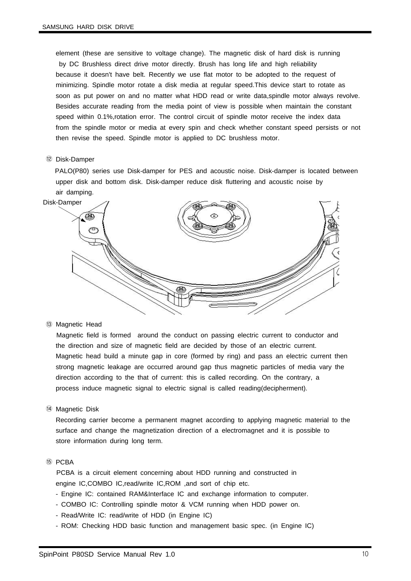element (these are sensitive to voltage change). The magnetic disk of hard disk is running by DC Brushless direct drive motor directly. Brush has long life and high reliability because it doesn't have belt. Recently we use flat motor to be adopted to the request of minimizing. Spindle motor rotate a disk media at regular speed.This device start to rotate as soon as put power on and no matter what HDD read or write data,spindle motor always revolve. Besides accurate reading from the media point of view is possible when maintain the constant speed within 0.1%,rotation error. The control circuit of spindle motor receive the index data from the spindle motor or media at every spin and check whether constant speed persists or not then revise the speed. Spindle motor is applied to DC brushless motor.

#### ⑫ Disk-Damper

PALO(P80) series use Disk-damper for PES and acoustic noise. Disk-damper is located between upper disk and bottom disk. Disk-damper reduce disk fluttering and acoustic noise by air damping.



⑬ Magnetic Head

Magnetic field is formed around the conduct on passing electric current to conductor and the direction and size of magnetic field are decided by those of an electric current. Magnetic head build a minute gap in core (formed by ring) and pass an electric current then strong magnetic leakage are occurred around gap thus magnetic particles of media vary the direction according to the that of current: this is called recording. On the contrary, a process induce magnetic signal to electric signal is called reading(decipherment).

⑭ Magnetic Disk

Recording carrier become a permanent magnet according to applying magnetic material to the surface and change the magnetization direction of a electromagnet and it is possible to store information during long term.

⑮ PCBA

PCBA is a circuit element concerning about HDD running and constructed in engine IC,COMBO IC,read/write IC,ROM ,and sort of chip etc.

- Engine IC: contained RAM&Interface IC and exchange information to computer.
- COMBO IC: Controlling spindle motor & VCM running when HDD power on.
- Read/Write IC: read/write of HDD (in Engine IC)
- ROM: Checking HDD basic function and management basic spec. (in Engine IC)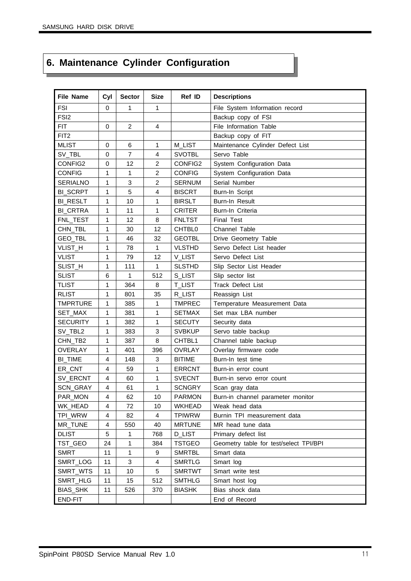## **6. Maintenance Cylinder Configuration**

| <b>File Name</b> | Cyl         | <b>Sector</b>  | <b>Size</b>    | Ref ID                 | <b>Descriptions</b>                    |
|------------------|-------------|----------------|----------------|------------------------|----------------------------------------|
| <b>FSI</b>       | $\mathbf 0$ | 1              | $\mathbf{1}$   |                        | File System Information record         |
| FSI <sub>2</sub> |             |                |                | Backup copy of FSI     |                                        |
| <b>FIT</b>       | $\mathbf 0$ | $\overline{2}$ | $\overline{4}$ | File Information Table |                                        |
| FIT <sub>2</sub> |             |                |                |                        | Backup copy of FIT                     |
| <b>MLIST</b>     | 0           | 6              | 1              | M_LIST                 | Maintenance Cylinder Defect List       |
| SV_TBL           | 0           | 7              | 4              | <b>SVOTBL</b>          | Servo Table                            |
| CONFIG2          | 0           | 12             | $\overline{c}$ | CONFIG2                | System Configuration Data              |
| <b>CONFIG</b>    | 1           | 1              | $\overline{c}$ | <b>CONFIG</b>          | System Configuration Data              |
| <b>SERIALNO</b>  | 1           | 3              | $\overline{2}$ | <b>SERNUM</b>          | Serial Number                          |
| <b>BI_SCRPT</b>  | 1           | 5              | 4              | <b>BISCRT</b>          | Burn-In Script                         |
| <b>BI_RESLT</b>  | 1           | 10             | 1              | <b>BIRSLT</b>          | Burn-In Result                         |
| <b>BI_CRTRA</b>  | 1           | 11             | 1              | <b>CRITER</b>          | Burn-In Criteria                       |
| FNL_TEST         | 1           | 12             | 8              | <b>FNLTST</b>          | <b>Final Test</b>                      |
| CHN_TBL          | 1           | 30             | 12             | CHTBL0                 | Channel Table                          |
| GEO_TBL          | 1           | 46             | 32             | <b>GEOTBL</b>          | Drive Geometry Table                   |
| VLIST_H          | 1           | 78             | 1              | <b>VLSTHD</b>          | Servo Defect List header               |
| <b>VLIST</b>     | 1           | 79             | 12             | V_LIST                 | Servo Defect List                      |
| SLIST_H          | 1           | 111            | 1              | <b>SLSTHD</b>          | Slip Sector List Header                |
| <b>SLIST</b>     | 6           | 1              | 512            | S_LIST                 | Slip sector list                       |
| <b>TLIST</b>     | 1           | 364            | 8              | <b>T_LIST</b>          | Track Defect List                      |
| <b>RLIST</b>     | 1           | 801            | 35             | R_LIST                 | Reassign List                          |
| <b>TMPRTURE</b>  | 1           | 385            | 1              | <b>TMPREC</b>          | Temperature Measurement Data           |
| SET_MAX          | 1           | 381            | 1              | <b>SETMAX</b>          | Set max LBA number                     |
| <b>SECURITY</b>  | 1           | 382            | 1              | <b>SECUTY</b>          | Security data                          |
| SV_TBL2          | 1           | 383            | 3              | <b>SVBKUP</b>          | Servo table backup                     |
| CHN_TB2          | 1           | 387            | 8              | CHTBL1                 | Channel table backup                   |
| <b>OVERLAY</b>   | 1           | 401            | 396            | <b>OVRLAY</b>          | Overlay firmware code                  |
| <b>BI_TIME</b>   | 4           | 148            | 3              | <b>BITIME</b>          | Burn-In test time                      |
| ER_CNT           | 4           | 59             | 1              | <b>ERRCNT</b>          | Burn-in error count                    |
| SV_ERCNT         | 4           | 60             | 1              | <b>SVECNT</b>          | Burn-in servo error count              |
| SCN_GRAY         | 4           | 61             | 1              | <b>SCNGRY</b>          | Scan gray data                         |
| PAR_MON          | 4           | 62             | 10             | <b>PARMON</b>          | Burn-in channel parameter monitor      |
| WK_HEAD          | 4           | 72             | 10             | <b>WKHEAD</b>          | Weak head data                         |
| TPI_WRW          | 4           | 82             | 4              | <b>TPIWRW</b>          | Burnin TPI measurement data            |
| MR_TUNE          | 4           | 550            | 40             | <b>MRTUNE</b>          | MR head tune data                      |
| <b>DLIST</b>     | 5           | 1              | 768            | <b>D_LIST</b>          | Primary defect list                    |
| TST_GEO          | 24          | 1              | 384            | <b>TSTGEO</b>          | Geometry table for test/select TPI/BPI |
| <b>SMRT</b>      | 11          | 1              | 9              | <b>SMRTBL</b>          | Smart data                             |
| SMRT_LOG         | 11          | 3              | 4              | <b>SMRTLG</b>          | Smart log                              |
| SMRT_WTS         | 11          | 10             | 5              | <b>SMRTWT</b>          | Smart write test                       |
| SMRT_HLG         | 11          | 15             | 512            | <b>SMTHLG</b>          | Smart host log                         |
| BIAS_SHK         | 11          | 526            | 370            | <b>BIASHK</b>          | Bias shock data                        |
| END-FIT          |             |                |                |                        | End of Record                          |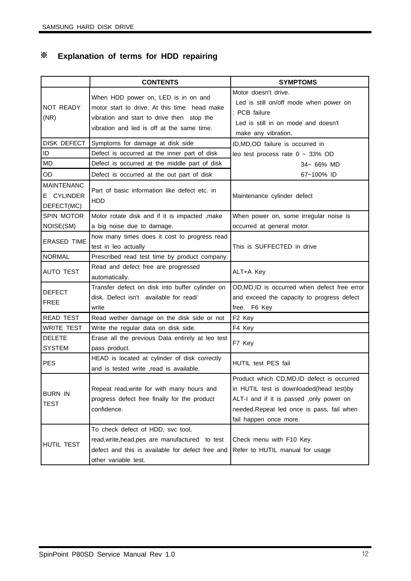## ※ **Explanation of terms for HDD repairing**

|                                               | <b>CONTENTS</b>                                                                                                                                                                 | <b>SYMPTOMS</b>                                                                                                                                                                                          |
|-----------------------------------------------|---------------------------------------------------------------------------------------------------------------------------------------------------------------------------------|----------------------------------------------------------------------------------------------------------------------------------------------------------------------------------------------------------|
| NOT READY<br>(NR)                             | When HDD power on, LED is in on and<br>motor start to drive. At this time head make<br>vibration and start to drive then stop the<br>vibration and led is off at the same time. | Motor doesn't drive.<br>Led is still on/off mode when power on<br>: PCB failure<br>Led is still in on mode and doesn't<br>make any vibration.                                                            |
|                                               | DISK DEFECT Symptoms for damage at disk side                                                                                                                                    | ID, MD, OD failure is occurred in                                                                                                                                                                        |
| ID                                            | Defect is occurred at the inner part of disk                                                                                                                                    | leo test process rate $0 \sim 33\%$ OD                                                                                                                                                                   |
| <b>MD</b>                                     | Defect is occurred at the middle part of disk                                                                                                                                   | 34~ 66% MD                                                                                                                                                                                               |
| <b>OD</b>                                     | Defect is occurred at the out part of disk                                                                                                                                      | 67~100% ID                                                                                                                                                                                               |
| <b>MAINTENANC</b><br>E CYLINDER<br>DEFECT(MC) | Part of basic information like defect etc. in<br><b>HDD</b>                                                                                                                     | Maintenance cylinder defect                                                                                                                                                                              |
| <b>SPIN MOTOR</b>                             | Motor rotate disk and if it is impacted , make                                                                                                                                  | When power on, some irregular noise is                                                                                                                                                                   |
| NOISE(SM)                                     | a big noise due to damage.                                                                                                                                                      | occurred at general motor.                                                                                                                                                                               |
| <b>ERASED TIME</b>                            | how many times does it cost to progress read<br>test in leo actually                                                                                                            | This is SUFFECTED in drive                                                                                                                                                                               |
| <b>NORMAL</b>                                 | Prescribed read test time by product company.                                                                                                                                   |                                                                                                                                                                                                          |
| <b>AUTO TEST</b>                              | Read and defect free are progressed<br>automatically.                                                                                                                           | ALT+A Key                                                                                                                                                                                                |
| <b>DEFECT</b><br><b>FREE</b>                  | Transfer defect on disk into buffer cylinder on<br>disk. Defect isn't available for read/<br>write                                                                              | OD, MD, ID is occurred when defect free error<br>and exceed the capacity to progress defect<br>free. F6 Key                                                                                              |
| <b>READ TEST</b>                              | Read wether damage on the disk side or not                                                                                                                                      | F <sub>2</sub> Key                                                                                                                                                                                       |
| <b>WRITE TEST</b>                             | Write the regular data on disk side.                                                                                                                                            | F4 Key                                                                                                                                                                                                   |
| <b>DELETE</b><br><b>SYSTEM</b>                | Erase all the previous Data entirely at leo test<br>pass product.                                                                                                               | F7 Key                                                                                                                                                                                                   |
| <b>PES</b>                                    | HEAD is located at cylinder of disk correctly<br>and is tested write , read is available.                                                                                       | HUTIL test PES fail                                                                                                                                                                                      |
| <b>BURN IN</b><br>TEST                        | Repeat read, write for with many hours and<br>progress defect free finally for the product<br>confidence.                                                                       | Product which CD,MD,ID defect is occurred<br>in HUTIL test is downloaded(head test)by<br>ALT-I and if it is passed, only power on<br>needed.Repeat led once is pass, fail when<br>fail happen once more. |
| HUTIL TEST                                    | To check defect of HDD, svc tool,<br>read, write, head, pes are manufactured to test<br>defect and this is available for defect free and<br>other variable test.                | Check menu with F10 Key.<br>Refer to HUTIL manual for usage                                                                                                                                              |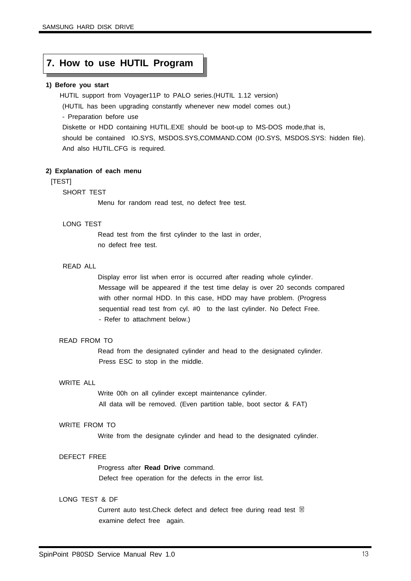### **7. How to use HUTIL Program**

#### **1) Before you start**

HUTIL support from Voyager11P to PALO series.(HUTIL 1.12 version)

(HUTIL has been upgrading constantly whenever new model comes out.)

- Preparation before use

Diskette or HDD containing HUTIL.EXE should be boot-up to MS-DOS mode,that is, should be contained IO.SYS, MSDOS.SYS,COMMAND.COM (IO.SYS, MSDOS.SYS: hidden file). And also HUTIL.CFG is required.

#### **2) Explanation of each menu**

#### [TEST]

#### SHORT TEST

Menu for random read test, no defect free test.

#### LONG TEST

Read test from the first cylinder to the last in order, no defect free test.

#### READ ALL

Display error list when error is occurred after reading whole cylinder. Message will be appeared if the test time delay is over 20 seconds compared with other normal HDD. In this case, HDD may have problem. (Progress sequential read test from cyl. #0 to the last cylinder. No Defect Free. - Refer to attachment below.)

#### READ FROM TO

Read from the designated cylinder and head to the designated cylinder. Press ESC to stop in the middle.

#### WRITE ALL

Write 00h on all cylinder except maintenance cylinder. All data will be removed. (Even partition table, boot sector & FAT)

#### WRITE FROM TO

Write from the designate cylinder and head to the designated cylinder.

#### DEFECT FREE

Progress after **Read Drive** command.

Defect free operation for the defects in the error list.

#### LONG TEST & DF

Current auto test. Check defect and defect free during read test 뭉 examine defect free again.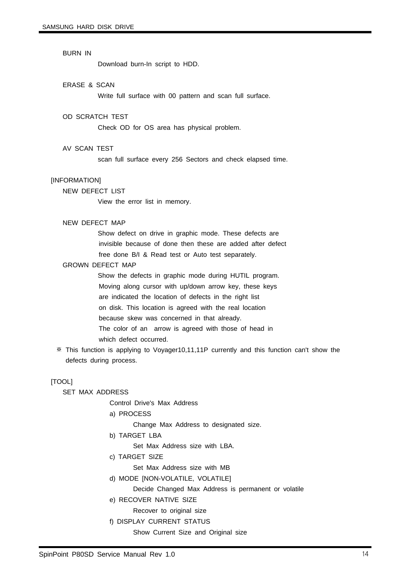#### BURN IN

Download burn-In script to HDD.

#### ERASE & SCAN

Write full surface with 00 pattern and scan full surface.

#### OD SCRATCH TEST

Check OD for OS area has physical problem.

#### AV SCAN TEST

scan full surface every 256 Sectors and check elapsed time.

#### **IINFORMATIONI**

NEW DEFECT LIST

View the error list in memory.

#### NEW DEFECT MAP

Show defect on drive in graphic mode. These defects are invisible because of done then these are added after defect free done B/I & Read test or Auto test separately.

#### GROWN DEFECT MAP

Show the defects in graphic mode during HUTIL program. Moving along cursor with up/down arrow key, these keys are indicated the location of defects in the right list on disk. This location is agreed with the real location because skew was concerned in that already. The color of an arrow is agreed with those of head in which defect occurred.

※ This function is applying to Voyager10,11,11P currently and this function can't show the defects during process.

#### [TOOL]

SET MAX ADDRESS

Control Drive's Max Address

a) PROCESS

Change Max Address to designated size.

b) TARGET LBA

Set Max Address size with LBA.

c) TARGET SIZE

Set Max Address size with MB

d) MODE [NON-VOLATILE, VOLATILE]

Decide Changed Max Address is permanent or volatile

e) RECOVER NATIVE SIZE

Recover to original size

f) DISPLAY CURRENT STATUS

Show Current Size and Original size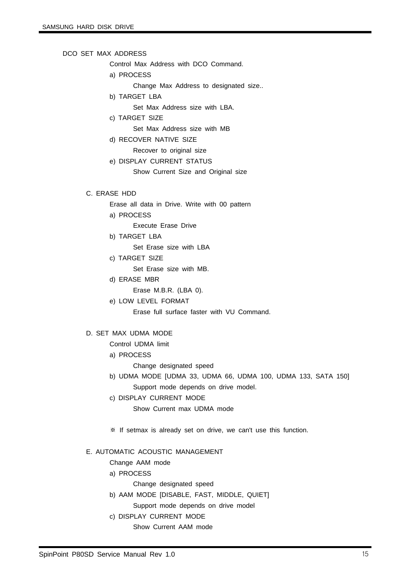#### DCO SET MAX ADDRESS

Control Max Address with DCO Command.

a) PROCESS

Change Max Address to designated size..

- b) TARGET LBA
	- Set Max Address size with LBA.
- c) TARGET SIZE

Set Max Address size with MB

d) RECOVER NATIVE SIZE

Recover to original size

e) DISPLAY CURRENT STATUS

Show Current Size and Original size

#### C. ERASE HDD

- Erase all data in Drive. Write with 00 pattern
- a) PROCESS
	- Execute Erase Drive
- b) TARGET LBA

Set Erase size with LBA

c) TARGET SIZE

Set Erase size with MB.

- d) ERASE MBR
	- Erase M.B.R. (LBA 0).
- e) LOW LEVEL FORMAT

Erase full surface faster with VU Command.

#### D. SET MAX UDMA MODE

Control UDMA limit

a) PROCESS

Change designated speed

- b) UDMA MODE [UDMA 33, UDMA 66, UDMA 100, UDMA 133, SATA 150] Support mode depends on drive model.
- c) DISPLAY CURRENT MODE

Show Current max UDMA mode

※ If setmax is already set on drive, we can't use this function.

#### E. AUTOMATIC ACOUSTIC MANAGEMENT

Change AAM mode

- a) PROCESS
	- Change designated speed
- b) AAM MODE [DISABLE, FAST, MIDDLE, QUIET]
	- Support mode depends on drive model
- c) DISPLAY CURRENT MODE
	- Show Current AAM mode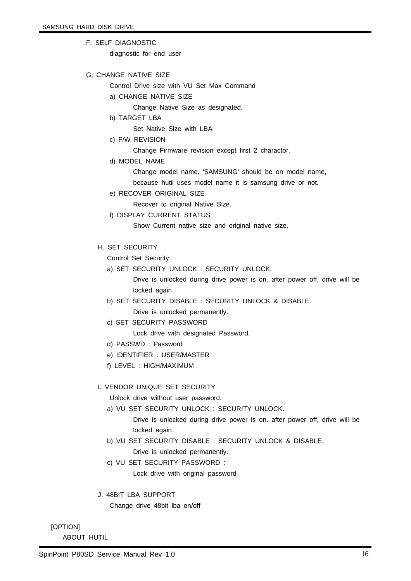F. SELF DIAGNOSTIC

diagnostic for end user

G. CHANGE NATIVE SIZE

Control Drive size with VU Set Max Command

- a) CHANGE NATIVE SIZE
	- Change Native Size as designated.
- b) TARGET LBA

Set Native Size with LBA

c) F/W REVISION

Change Firmware revision except first 2 charactor.

d) MODEL NAME

Change model name, 'SAMSUNG' should be on model name,

because hutil uses model name it is samsung drive or not.

e) RECOVER ORIGINAL SIZE

Recover to original Native Size.

f) DISPLAY CURRENT STATUS

Show Current native size and original native size.

#### H. SET SECURITY

Control Set Security

a) SET SECURITY UNLOCK : SECURITY UNLOCK.

Drive is unlocked during drive power is on. after power off, drive will be locked again.

- b) SET SECURITY DISABLE : SECURITY UNLOCK & DISABLE.
	- Drive is unlocked permanently.
- c) SET SECURITY PASSWORD

Lock drive with designated Password.

- d) PASSWD : Password
- e) IDENTIFIER : USER/MASTER
- f) LEVEL : HIGH/MAXIMUM

#### I. VENDOR UNIQUE SET SECURITY

Unlock drive without user password.

a) VU SET SECURITY UNLOCK : SECURITY UNLOCK.

Drive is unlocked during drive power is on. after power off, drive will be locked again.

- b) VU SET SECURITY DISABLE : SECURITY UNLOCK & DISABLE. Drive is unlocked permanently.
- c) VU SET SECURITY PASSWORD : Lock drive with original password
- J. 48BIT LBA SUPPORT Change drive 48bit lba on/off

[OPTION]

ABOUT HUTIL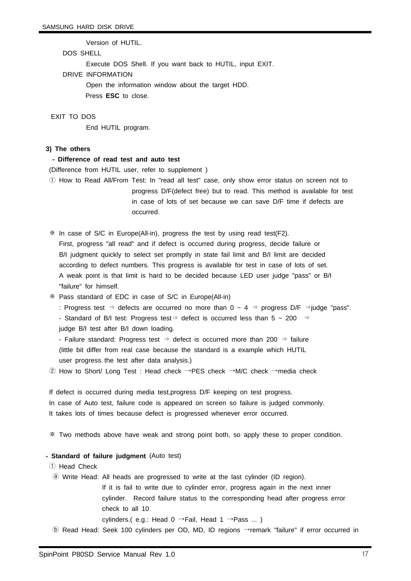Version of HUTIL.

#### DOS SHELL

Execute DOS Shell. If you want back to HUTIL, input EXIT.

DRIVE INFORMATION

Open the information window about the target HDD.

Press **ESC** to close.

#### EXIT TO DOS

End HUTIL program.

#### **3) The others**

#### **- Difference of read test and auto test**

(Difference from HUTIL user, refer to supplement )

① How to Read All/From Test: In "read all test" case, only show error status on screen not to progress D/F(defect free) but to read. This method is available for test in case of lots of set because we can save D/F time if defects are occurred.

※ In case of S/C in Europe(All-in), progress the test by using read test(F2). First, progress "all read" and if defect is occurred during progress, decide failure or B/I judgment quickly to select set promptly in state fail limit and B/I limit are decided according to defect numbers. This progress is available for test in case of lots of set. A weak point is that limit is hard to be decided because LED user judge "pass" or B/I "failure" for himself.

※ Pass standard of EDC in case of S/C in Europe(All-in)

: Progress test ⇒ defects are occurred no more than  $0 \sim 4$  ⇒ progress D/F ⇒judge "pass".

- Standard of B/I test: Progress test⇒ defect is occurred less than 5 ~ 200 ⇒

judge B/I test after B/I down loading.

- Failure standard: Progress test ⇒ defect is occurred more than 200 ⇒ failure (little bit differ from real case because the standard is a example which HUTIL user progress the test after data analysis.)

② How to Short/ Long Test : Head check →PES check →M/C check →media check

If defect is occurred during media test,progress D/F keeping on test progress. In case of Auto test, failure code is appeared on screen so failure is judged commonly. It takes lots of times because defect is progressed whenever error occurred.

※ Two methods above have weak and strong point both, so apply these to proper condition.

#### **- Standard of failure judgment** (Auto test)

① Head Check

ⓐ Write Head: All heads are progressed to write at the last cylinder (ID region).

If it is fail to write due to cylinder error, progress again in the next inner cylinder. Record failure status to the corresponding head after progress error check to all 10

cylinders.( e.g.: Head 0  $\rightarrow$  Fail, Head 1  $\rightarrow$  Pass ...)

ⓑ Read Head: Seek 100 cylinders per OD, MD, ID regions →remark "failure" if error occurred in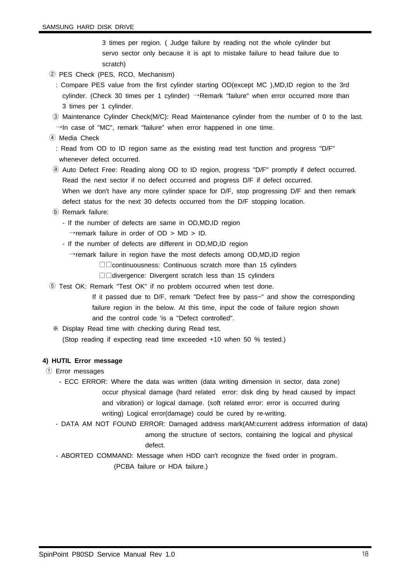3 times per region. ( Judge failure by reading not the whole cylinder but servo sector only because it is apt to mistake failure to head failure due to scratch)

- ② PES Check (PES, RCO, Mechanism)
	- : Compare PES value from the first cylinder starting OD(except MC ),MD,ID region to the 3rd cylinder. (Check 30 times per 1 cylinder) →Remark "failure" when error occurred more than 3 times per 1 cylinder.
- ③ Maintenance Cylinder Check(M/C): Read Maintenance cylinder from the number of 0 to the last.  $\rightarrow$ In case of "MC", remark "failure" when error happened in one time.
- ④ Media Check

: Read from OD to ID region same as the existing read test function and progress "D/F" whenever defect occurred.

- ⓐ Auto Defect Free: Reading along OD to ID region, progress "D/F" promptly if defect occurred. Read the next sector if no defect occurred and progress D/F if defect occurred. When we don't have any more cylinder space for D/F, stop progressing D/F and then remark defect status for the next 30 defects occurred from the D/F stopping location.
- ⓑ Remark failure:
	- If the number of defects are same in OD,MD,ID region
		- $\rightarrow$ remark failure in order of OD > MD > ID.
	- If the number of defects are different in OD,MD,ID region

 $\rightarrow$ remark failure in region have the most defects among OD,MD,ID region

□□continuousness: Continuous scratch more than 15 cylinders

- □□divergence: Divergent scratch less than 15 cylinders
- ⑤ Test OK: Remark "Test OK" if no problem occurred when test done.
	- If it passed due to D/F, remark "Defect free by pass~" and show the corresponding failure region in the below. At this time, input the code of failure region shown and the control code 'is a "Defect controlled".
	- ※ Display Read time with checking during Read test, (Stop reading if expecting read time exceeded +10 when 50 % tested.)

#### **4) HUTIL Error message**

- ① Error messages
	- ECC ERROR: Where the data was written (data writing dimension in sector, data zone) occur physical damage (hard related error: disk ding by head caused by impact and vibration) or logical damage. (soft related error: error is occurred during writing) Logical error(damage) could be cured by re-writing.
	- DATA AM NOT FOUND ERROR: Damaged address mark(AM:current address information of data) among the structure of sectors, containing the logical and physical

#### defect.

- ABORTED COMMAND: Message when HDD can't recognize the fixed order in program. (PCBA failure or HDA failure.)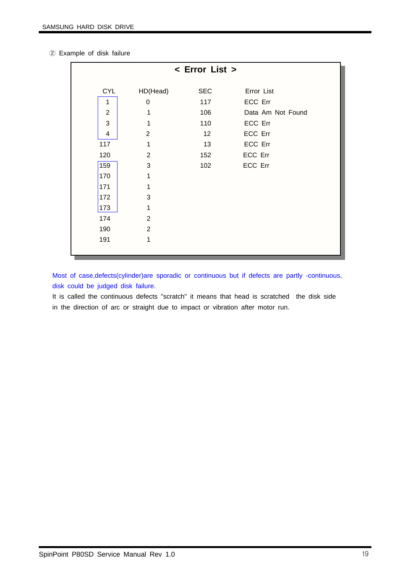| 2 Example of disk failure |  |  |
|---------------------------|--|--|
|                           |  |  |

|                         | < Error List > |            |                   |  |  |  |  |
|-------------------------|----------------|------------|-------------------|--|--|--|--|
| <b>CYL</b>              | HD(Head)       | <b>SEC</b> | Error List        |  |  |  |  |
| 1                       | 0              | 117        | ECC Err           |  |  |  |  |
| $\overline{2}$          | 1              | 106        | Data Am Not Found |  |  |  |  |
| 3                       | 1              | 110        | ECC Err           |  |  |  |  |
| $\overline{\mathbf{4}}$ | $\overline{2}$ | 12         | ECC Err           |  |  |  |  |
| 117                     | 1              | 13         | ECC Err           |  |  |  |  |
| 120                     | $\overline{2}$ | 152        | ECC Err           |  |  |  |  |
| 159                     | $\mathbf{3}$   | 102        | ECC Err           |  |  |  |  |
| 170                     | 1              |            |                   |  |  |  |  |
| 171                     | 1              |            |                   |  |  |  |  |
| 172                     | $\mathbf{3}$   |            |                   |  |  |  |  |
| 173                     | 1              |            |                   |  |  |  |  |
| 174                     | $\overline{2}$ |            |                   |  |  |  |  |
| 190                     | $\overline{2}$ |            |                   |  |  |  |  |
| 191                     | 1              |            |                   |  |  |  |  |
|                         |                |            |                   |  |  |  |  |

Most of case,defects(cylinder)are sporadic or continuous but if defects are partly -continuous, disk could be judged disk failure.

It is called the continuous defects "scratch" it means that head is scratched the disk side in the direction of arc or straight due to impact or vibration after motor run.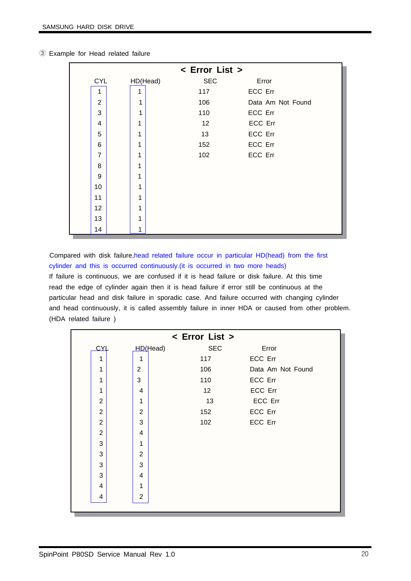|                | < Error List > |                        |         |                   |  |  |  |
|----------------|----------------|------------------------|---------|-------------------|--|--|--|
| <b>CYL</b>     |                | <b>SEC</b><br>HD(Head) | Error   |                   |  |  |  |
| 1              | 1              | 117                    | ECC Err |                   |  |  |  |
| $\overline{2}$ | 1              | 106                    |         | Data Am Not Found |  |  |  |
| 3              | 1              | 110                    | ECC Err |                   |  |  |  |
| 4              | 1              | 12                     | ECC Err |                   |  |  |  |
| 5              | 1              | 13                     | ECC Err |                   |  |  |  |
| 6              | 1              | 152                    | ECC Err |                   |  |  |  |
| $\overline{7}$ | 1              | 102                    | ECC Err |                   |  |  |  |
| 8              | 1              |                        |         |                   |  |  |  |
| 9              | 1              |                        |         |                   |  |  |  |
| 10             | 1              |                        |         |                   |  |  |  |
| 11             | 1              |                        |         |                   |  |  |  |
| 12             | 1              |                        |         |                   |  |  |  |
| 13             | 1              |                        |         |                   |  |  |  |
| 14             | 1              |                        |         |                   |  |  |  |

③ Example for Head related failure

Compared with disk failure,head related failure occur in particular HD(head) from the first cylinder and this is occurred continuously.(it is occurred in two more heads) If failure is continuous, we are confused if it is head failure or disk failure. At this time read the edge of cylinder again then it is head failure if error still be continuous at the particular head and disk failure in sporadic case. And failure occurred with changing cylinder and head continuously, it is called assembly failure in inner HDA or caused from other problem. (HDA related failure )

|                |                | < Error List > |                   |
|----------------|----------------|----------------|-------------------|
| CYL            | HD(Head)       | <b>SEC</b>     | Error             |
| 1              | 1              | 117            | ECC Err           |
| 1              | $\overline{c}$ | 106            | Data Am Not Found |
| 1              | 3              | 110            | ECC Err           |
| 1              | $\overline{4}$ | 12             | ECC Err           |
| $\overline{2}$ | 1              | 13             | ECC Err           |
| $\overline{2}$ | $\overline{2}$ | 152            | ECC Err           |
| $\overline{2}$ | 3              | 102            | ECC Err           |
| $\overline{2}$ | $\overline{4}$ |                |                   |
| 3              | 1              |                |                   |
| 3              | $\overline{2}$ |                |                   |
| 3              | 3              |                |                   |
| 3              | $\overline{4}$ |                |                   |
| 4              | 1              |                |                   |
| 4              | $\overline{2}$ |                |                   |
|                |                |                |                   |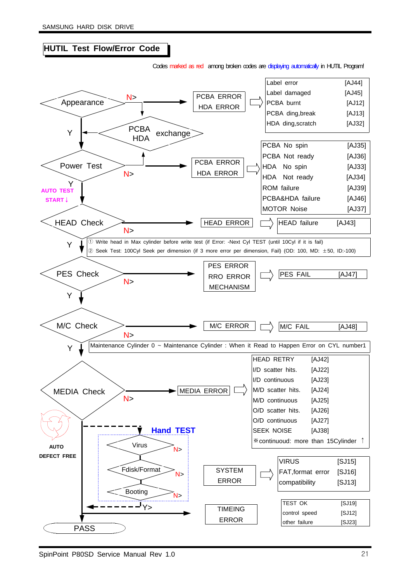### **HUTIL Test Flow/Error Code**

Codes marked as red among broken codes are displaying automatically in HUTIL Program!

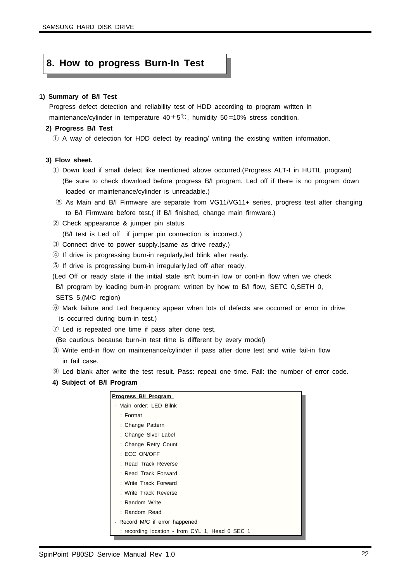#### **8. How to progress Burn-In Test**

#### **1) Summary of B/I Test**

Progress defect detection and reliability test of HDD according to program written in maintenance/cylinder in temperature  $40±5$ °C, humidity  $50±10%$  stress condition.

#### **2) Progress B/I Test**

① A way of detection for HDD defect by reading/ writing the existing written information.

#### **3) Flow sheet.**

- ① Down load if small defect like mentioned above occurred.(Progress ALT-I in HUTIL program) (Be sure to check download before progress B/I program. Led off if there is no program down loaded or maintenance/cylinder is unreadable.)
- ⓐ As Main and B/I Firmware are separate from VG11/VG11+ series, progress test after changing to B/I Firmware before test.( if B/I finished, change main firmware.)
- ② Check appearance & jumper pin status.

(B/I test is Led off if jumper pin connection is incorrect.)

- ③ Connect drive to power supply.(same as drive ready.)
- ④ If drive is progressing burn-in regularly,led blink after ready.
- ⑤ If drive is progressing burn-in irregularly,led off after ready.
- (Led Off or ready state if the initial state isn't burn-in low or cont-in flow when we check B/I program by loading burn-in program: written by how to B/I flow, SETC 0, SETH 0, SETS 5,(M/C region)
- ⑥ Mark failure and Led frequency appear when lots of defects are occurred or error in drive is occurred during burn-in test.)
- ⑦ Led is repeated one time if pass after done test.

(Be cautious because burn-in test time is different by every model)

- ⑧ Write end-in flow on maintenance/cylinder if pass after done test and write fail-in flow in fail case.
- ⑨ Led blank after write the test result. Pass: repeat one time. Fail: the number of error code.
- **4) Subject of B/I Program**

| <b>Progress B/I Program</b>                     |
|-------------------------------------------------|
| - Main order: LED Bilnk                         |
| $:$ Format                                      |
| : Change Pattern                                |
| : Change Sivel Label                            |
| : Change Retry Count                            |
| : ECC ON/OFF                                    |
| : Read Track Reverse                            |
| : Read Track Forward                            |
| : Write Track Forward                           |
| : Write Track Reverse                           |
| : Random Write                                  |
| : Random Read                                   |
| - Record M/C if error happened                  |
| : recording location - from CYL 1, Head 0 SEC 1 |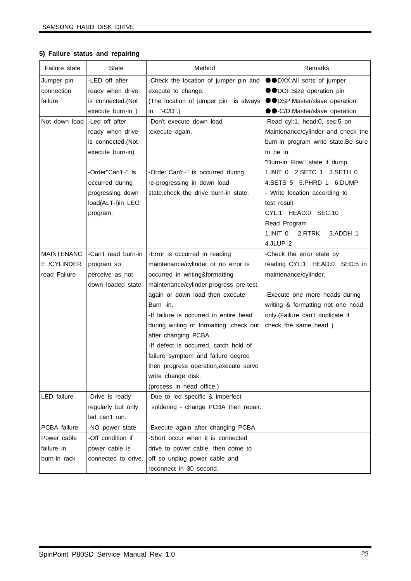#### **5) Failure status and repairing**

| Failure state     | <b>State</b>        | Method                                   | Remarks                             |
|-------------------|---------------------|------------------------------------------|-------------------------------------|
| Jumper pin        | -LED off after      | -Check the location of jumper pin and    | ●●DXX:All sorts of jumper           |
| connection        | ready when drive    | execute to change.                       | ●●DCF:Size operation pin            |
| failure           | is connected.(Not   | (The location of jumper pin is always    | ●●DSP:Master/slave operation        |
|                   | execute burn-in)    | in $"$ -C/D".)                           | ●●-C/D:Master/slave operation       |
| Not down load     | -Led off after      | -Don't execute down load                 | -Read cyl:1, head:0, sec:5 on       |
|                   | ready when drive    | :execute again.                          | Maintenance/cylinder and check the  |
|                   | is connected.(Not   |                                          | burn-in program write state.Be sure |
|                   | execute burn-in)    |                                          | to be in                            |
|                   |                     |                                          | "Burn-in Flow" state if dump.       |
|                   | -Order"Can't~" is   | -Order"Can't~" is occurred during        | 1.INIT 0 2.SETC 1 3.SETH 0          |
|                   | occurred during     | re-progressing in down load              | 4.SETS 5 5.PHRD 1 6.DUMP            |
|                   | progressing down    | state, check the drive burn-in state.    | - Write location according to       |
|                   | load(ALT-I)in LEO   |                                          | test result                         |
|                   | program.            |                                          | CYL:1 HEAD:0 SEC:10                 |
|                   |                     |                                          | Read Program                        |
|                   |                     |                                          | 1.INIT 0 2.RTRK<br>3.ADDH 1         |
|                   |                     |                                          | 4.JLUP <sub>2</sub>                 |
| <b>MAINTENANC</b> | -Can't read burn-in | -Error is occurred in reading            | -Check the error state by           |
| E /CYLINDER       | program so          | maintenance/cylinder or no error is      | reading CYL:1 HEAD:0 SEC:5 in       |
| read Failure      | perceive as not     | occurred in writing&formatting           | maintenance/cylinder.               |
|                   | down loaded state.  | maintenance/cylinder, progress pre-test  |                                     |
|                   |                     | again or down load then execute          | -Execute one more heads during      |
|                   |                     | Burn -in.                                | writing & formatting not one head   |
|                   |                     | -If failure is occurred in entire head   | only.(Failure can't duplicate if    |
|                   |                     | during writing or formatting , check out | check the same head)                |
|                   |                     | after changing PCBA.                     |                                     |
|                   |                     | -If defect is occurred, catch hold of    |                                     |
|                   |                     | failure symptom and failure degree       |                                     |
|                   |                     | then progress operation, execute servo   |                                     |
|                   |                     | write change disk.                       |                                     |
|                   |                     | (process in head office.)                |                                     |
| LED failure       | -Drive is ready     | -Due to led specific & imperfect         |                                     |
|                   | regularly but only  | soldering - change PCBA then repair.     |                                     |
|                   | led can't run.      |                                          |                                     |
| PCBA failure      | -NO power state     | -Execute again after changing PCBA.      |                                     |
| Power cable       | -Off condition if   | -Short occur when it is connected        |                                     |
| failure in        | power cable is      | drive to power cable, then come to       |                                     |
| burn-in rack      | connected to drive. | off so unplug power cable and            |                                     |
|                   |                     | reconnect in 30 second.                  |                                     |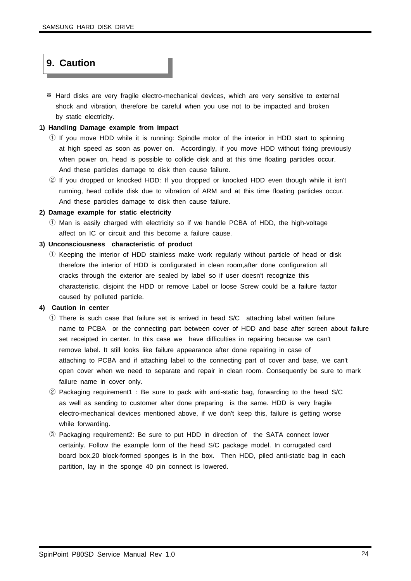### **9. Caution**

※ Hard disks are very fragile electro-mechanical devices, which are very sensitive to external shock and vibration, therefore be careful when you use not to be impacted and broken by static electricity.

#### **1) Handling Damage example from impact**

- $\odot$  If you move HDD while it is running: Spindle motor of the interior in HDD start to spinning at high speed as soon as power on. Accordingly, if you move HDD without fixing previously when power on, head is possible to collide disk and at this time floating particles occur. And these particles damage to disk then cause failure.
- ② If you dropped or knocked HDD: If you dropped or knocked HDD even though while it isn't running, head collide disk due to vibration of ARM and at this time floating particles occur. And these particles damage to disk then cause failure.

#### **2) Damage example for static electricity**

① Man is easily charged with electricity so if we handle PCBA of HDD, the high-voltage affect on IC or circuit and this become a failure cause.

#### **3) Unconsciousness characteristic of product**

① Keeping the interior of HDD stainless make work regularly without particle of head or disk therefore the interior of HDD is configurated in clean room,after done configuration all cracks through the exterior are sealed by label so if user doesn't recognize this characteristic, disjoint the HDD or remove Label or loose Screw could be a failure factor caused by polluted particle.

#### **4) Caution in center**

- ① There is such case that failure set is arrived in head S/C attaching label written failure name to PCBA or the connecting part between cover of HDD and base after screen about failure set receipted in center. In this case we have difficulties in repairing because we can't remove label. It still looks like failure appearance after done repairing in case of attaching to PCBA and if attaching label to the connecting part of cover and base, we can't open cover when we need to separate and repair in clean room. Consequently be sure to mark failure name in cover only.
- ② Packaging requirement1 : Be sure to pack with anti-static bag, forwarding to the head S/C as well as sending to customer after done preparing is the same. HDD is very fragile electro-mechanical devices mentioned above, if we don't keep this, failure is getting worse while forwarding.
- ③ Packaging requirement2: Be sure to put HDD in direction of the SATA connect lower certainly. Follow the example form of the head S/C package model. In corrugated card board box,20 block-formed sponges is in the box. Then HDD, piled anti-static bag in each partition, lay in the sponge 40 pin connect is lowered.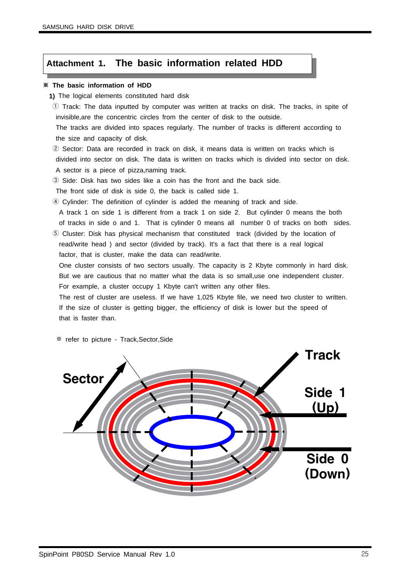#### **Attachment 1. The basic information related HDD**

#### ※ **The basic information of HDD**

- **1)** The logical elements constituted hard disk
- ① Track: The data inputted by computer was written at tracks on disk. The tracks, in spite of invisible,are the concentric circles from the center of disk to the outside.

The tracks are divided into spaces regularly. The number of tracks is different according to the size and capacity of disk.

② Sector: Data are recorded in track on disk, it means data is written on tracks which is divided into sector on disk. The data is written on tracks which is divided into sector on disk. A sector is a piece of pizza,naming track.

③ Side: Disk has two sides like a coin has the front and the back side.

The front side of disk is side 0, the back is called side 1.

④ Cylinder: The definition of cylinder is added the meaning of track and side.

A track 1 on side 1 is different from a track 1 on side 2. But cylinder 0 means the both of tracks in side o and 1. That is cylinder 0 means all number 0 of tracks on both sides.

⑤ Cluster: Disk has physical mechanism that constituted track (divided by the location of read/write head ) and sector (divided by track). It's a fact that there is a real logical factor, that is cluster, make the data can read/write.

One cluster consists of two sectors usually. The capacity is 2 Kbyte commonly in hard disk. But we are cautious that no matter what the data is so small,use one independent cluster. For example, a cluster occupy 1 Kbyte can't written any other files.

The rest of cluster are useless. If we have 1,025 Kbyte file, we need two cluster to written. If the size of cluster is getting bigger, the efficiency of disk is lower but the speed of that is faster than.

※ refer to picture - Track,Sector,Side

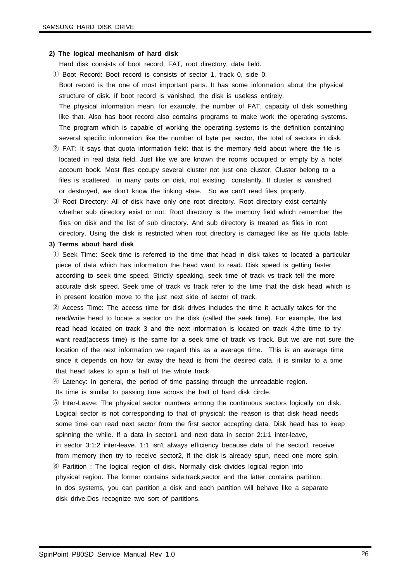#### **2) The logical mechanism of hard disk**

Hard disk consists of boot record, FAT, root directory, data field.

- ① Boot Record: Boot record is consists of sector 1, track 0, side 0. Boot record is the one of most important parts. It has some information about the physical structure of disk. If boot record is vanished, the disk is useless entirely. The physical information mean, for example, the number of FAT, capacity of disk something like that. Also has boot record also contains programs to make work the operating systems. The program which is capable of working the operating systems is the definition containing several specific information like the number of byte per sector, the total of sectors in disk.
- ② FAT: It says that quota information field: that is the memory field about where the file is located in real data field. Just like we are known the rooms occupied or empty by a hotel account book. Most files occupy several cluster not just one cluster. Cluster belong to a files is scattered in many parts on disk, not existing constantly. If cluster is vanished or destroyed, we don't know the linking state. So we can't read files properly.
- ③ Root Directory: All of disk have only one root directory. Root directory exist certainly whether sub directory exist or not. Root directory is the memory field which remember the files on disk and the list of sub directory. And sub directory is treated as files in root directory. Using the disk is restricted when root directory is damaged like as file quota table.

#### **3) Terms about hard disk**

- ① Seek Time: Seek time is referred to the time that head in disk takes to located a particular piece of data which has information the head want to read. Disk speed is getting faster according to seek time speed. Strictly speaking, seek time of track vs track tell the more accurate disk speed. Seek time of track vs track refer to the time that the disk head which is in present location move to the just next side of sector of track.
- ② Access Time: The access time for disk drives includes the time it actually takes for the read/write head to locate a sector on the disk (called the seek time). For example, the last read head located on track 3 and the next information is located on track 4,the time to try want read(access time) is the same for a seek time of track vs track. But we are not sure the location of the next information we regard this as a average time. This is an average time since it depends on how far away the head is from the desired data, it is similar to a time that head takes to spin a half of the whole track.
- ④ Latency: In general, the period of time passing through the unreadable region.

Its time is similar to passing time across the half of hard disk circle.

- ⑤ Inter-Leave: The physical sector numbers among the continuous sectors logically on disk. Logical sector is not corresponding to that of physical: the reason is that disk head needs some time can read next sector from the first sector accepting data. Disk head has to keep spinning the while. If a data in sector1 and next data in sector 2:1:1 inter-leave, in sector 3:1:2 inter-leave. 1:1 isn't always efficiency because data of the sector1 receive from memory then try to receive sector2, if the disk is already spun, need one more spin.
- ⑥ Partition : The logical region of disk. Normally disk divides logical region into physical region. The former contains side,track,sector and the latter contains partition. In dos systems, you can partition a disk and each partition will behave like a separate disk drive.Dos recognize two sort of partitions.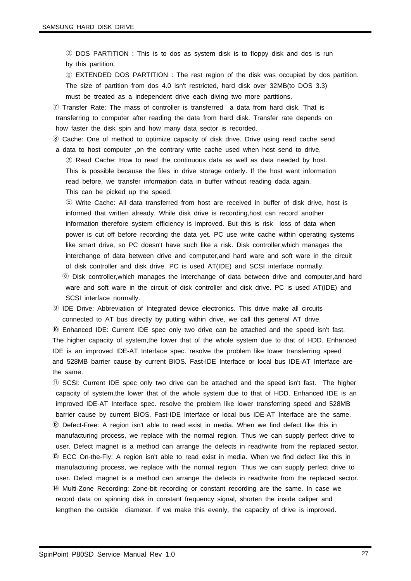ⓐ DOS PARTITION : This is to dos as system disk is to floppy disk and dos is run by this partition.

ⓑ EXTENDED DOS PARTITION : The rest region of the disk was occupied by dos partition. The size of partition from dos 4.0 isn't restricted, hard disk over 32MB(to DOS 3.3) must be treated as a independent drive each diving two more partitions.

⑦ Transfer Rate: The mass of controller is transferred a data from hard disk. That is transferring to computer after reading the data from hard disk. Transfer rate depends on how faster the disk spin and how many data sector is recorded.

⑧ Cache: One of method to optimize capacity of disk drive. Drive using read cache send a data to host computer ,on the contrary write cache used when host send to drive. ⓐ Read Cache: How to read the continuous data as well as data needed by host. This is possible because the files in drive storage orderly. If the host want information

read before, we transfer information data in buffer without reading dada again.

This can be picked up the speed.

ⓑ Write Cache: All data transferred from host are received in buffer of disk drive, host is informed that written already. While disk drive is recording,host can record another information therefore system efficiency is improved. But this is risk loss of data when power is cut off before recording the data yet. PC use write cache within operating systems like smart drive, so PC doesn't have such like a risk. Disk controller,which manages the interchange of data between drive and computer,and hard ware and soft ware in the circuit of disk controller and disk drive. PC is used AT(IDE) and SCSI interface normally. ⓒ Disk controller,which manages the interchange of data between drive and computer,and hard ware and soft ware in the circuit of disk controller and disk drive. PC is used AT(IDE) and SCSI interface normally.

⑨ IDE Drive: Abbreviation of Integrated device electronics. This drive make all circuits connected to AT bus directly by putting within drive, we call this general AT drive.

⑩ Enhanced IDE: Current IDE spec only two drive can be attached and the speed isn't fast. The higher capacity of system,the lower that of the whole system due to that of HDD. Enhanced IDE is an improved IDE-AT Interface spec. resolve the problem like lower transferring speed and 528MB barrier cause by current BIOS. Fast-IDE Interface or local bus IDE-AT Interface are the same.

⑪ SCSI: Current IDE spec only two drive can be attached and the speed isn't fast. The higher capacity of system,the lower that of the whole system due to that of HDD. Enhanced IDE is an improved IDE-AT Interface spec. resolve the problem like lower transferring speed and 528MB barrier cause by current BIOS. Fast-IDE Interface or local bus IDE-AT Interface are the same. ⑫ Defect-Free: A region isn't able to read exist in media. When we find defect like this in manufacturing process, we replace with the normal region. Thus we can supply perfect drive to user. Defect magnet is a method can arrange the defects in read/write from the replaced sector. ⑬ ECC On-the-Fly: A region isn't able to read exist in media. When we find defect like this in manufacturing process, we replace with the normal region. Thus we can supply perfect drive to user. Defect magnet is a method can arrange the defects in read/write from the replaced sector. ⑭ Multi-Zone Recording: Zone-bit recording or constant recording are the same. In case we record data on spinning disk in constant frequency signal, shorten the inside caliper and lengthen the outside diameter. If we make this evenly, the capacity of drive is improved.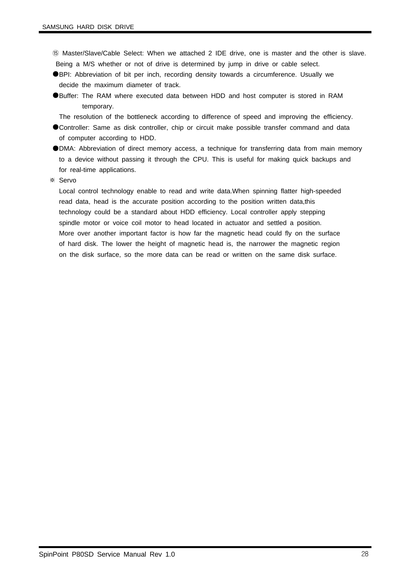- ⑮ Master/Slave/Cable Select: When we attached 2 IDE drive, one is master and the other is slave. Being a M/S whether or not of drive is determined by jump in drive or cable select.
- ●BPI: Abbreviation of bit per inch, recording density towards a circumference. Usually we decide the maximum diameter of track.
- ●Buffer: The RAM where executed data between HDD and host computer is stored in RAM temporary.
	- The resolution of the bottleneck according to difference of speed and improving the efficiency.
- ●Controller: Same as disk controller, chip or circuit make possible transfer command and data of computer according to HDD.
- ●DMA: Abbreviation of direct memory access, a technique for transferring data from main memory to a device without passing it through the CPU. This is useful for making quick backups and for real-time applications.
- ※ Servo

Local control technology enable to read and write data.When spinning flatter high-speeded read data, head is the accurate position according to the position written data,this technology could be a standard about HDD efficiency. Local controller apply stepping spindle motor or voice coil motor to head located in actuator and settled a position. More over another important factor is how far the magnetic head could fly on the surface of hard disk. The lower the height of magnetic head is, the narrower the magnetic region on the disk surface, so the more data can be read or written on the same disk surface.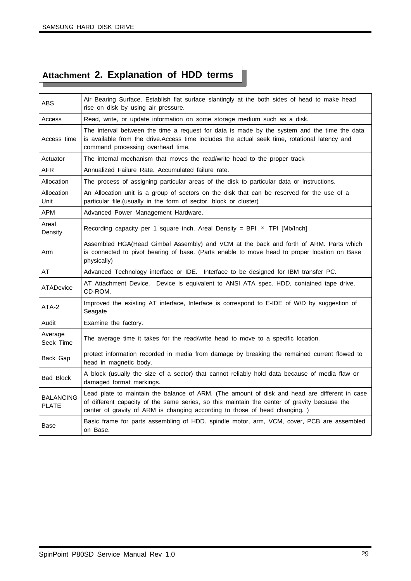## **Attachment 2. Explanation of HDD terms**

| ABS                              | Air Bearing Surface. Establish flat surface slantingly at the both sides of head to make head<br>rise on disk by using air pressure.                                                                                                                                        |
|----------------------------------|-----------------------------------------------------------------------------------------------------------------------------------------------------------------------------------------------------------------------------------------------------------------------------|
| Access                           | Read, write, or update information on some storage medium such as a disk.                                                                                                                                                                                                   |
| Access time                      | The interval between the time a request for data is made by the system and the time the data<br>is available from the drive. Access time includes the actual seek time, rotational latency and<br>command processing overhead time.                                         |
| Actuator                         | The internal mechanism that moves the read/write head to the proper track                                                                                                                                                                                                   |
| <b>AFR</b>                       | Annualized Failure Rate. Accumulated failure rate.                                                                                                                                                                                                                          |
| Allocation                       | The process of assigning particular areas of the disk to particular data or instructions.                                                                                                                                                                                   |
| Allocation<br>Unit               | An Allocation unit is a group of sectors on the disk that can be reserved for the use of a<br>particular file. (usually in the form of sector, block or cluster)                                                                                                            |
| APM                              | Advanced Power Management Hardware.                                                                                                                                                                                                                                         |
| Areal<br>Density                 | Recording capacity per 1 square inch. Areal Density = BPI $\times$ TPI [Mb/Inch]                                                                                                                                                                                            |
| Arm                              | Assembled HGA(Head Gimbal Assembly) and VCM at the back and forth of ARM. Parts which<br>is connected to pivot bearing of base. (Parts enable to move head to proper location on Base<br>physically)                                                                        |
| AT                               | Advanced Technology interface or IDE. Interface to be designed for IBM transfer PC.                                                                                                                                                                                         |
| <b>ATADevice</b>                 | AT Attachment Device. Device is equivalent to ANSI ATA spec. HDD, contained tape drive,<br>CD-ROM.                                                                                                                                                                          |
| ATA-2                            | Improved the existing AT interface, Interface is correspond to E-IDE of W/D by suggestion of<br>Seagate                                                                                                                                                                     |
| Audit                            | Examine the factory.                                                                                                                                                                                                                                                        |
| Average<br>Seek Time             | The average time it takes for the read/write head to move to a specific location.                                                                                                                                                                                           |
| Back Gap                         | protect information recorded in media from damage by breaking the remained current flowed to<br>head in magnetic body.                                                                                                                                                      |
| <b>Bad Block</b>                 | A block (usually the size of a sector) that cannot reliably hold data because of media flaw or<br>damaged format markings.                                                                                                                                                  |
| <b>BALANCING</b><br><b>PLATE</b> | Lead plate to maintain the balance of ARM. (The amount of disk and head are different in case<br>of different capacity of the same series, so this maintain the center of gravity because the<br>center of gravity of ARM is changing according to those of head changing.) |
| Base                             | Basic frame for parts assembling of HDD. spindle motor, arm, VCM, cover, PCB are assembled<br>on Base.                                                                                                                                                                      |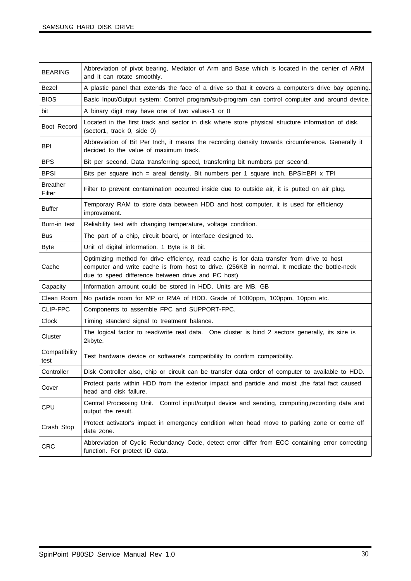| <b>BEARING</b>            | Abbreviation of pivot bearing, Mediator of Arm and Base which is located in the center of ARM<br>and it can rotate smoothly.                                                                                                                     |
|---------------------------|--------------------------------------------------------------------------------------------------------------------------------------------------------------------------------------------------------------------------------------------------|
| Bezel                     | A plastic panel that extends the face of a drive so that it covers a computer's drive bay opening.                                                                                                                                               |
| <b>BIOS</b>               | Basic Input/Output system: Control program/sub-program can control computer and around device.                                                                                                                                                   |
| bit                       | A binary digit may have one of two values-1 or 0                                                                                                                                                                                                 |
| Boot Record               | Located in the first track and sector in disk where store physical structure information of disk.<br>(sector1, track 0, side 0)                                                                                                                  |
| <b>BPI</b>                | Abbreviation of Bit Per Inch, it means the recording density towards circumference. Generally it<br>decided to the value of maximum track.                                                                                                       |
| <b>BPS</b>                | Bit per second. Data transferring speed, transferring bit numbers per second.                                                                                                                                                                    |
| <b>BPSI</b>               | Bits per square inch = areal density, Bit numbers per 1 square inch, BPSI=BPI x TPI                                                                                                                                                              |
| <b>Breather</b><br>Filter | Filter to prevent contamination occurred inside due to outside air, it is putted on air plug.                                                                                                                                                    |
| <b>Buffer</b>             | Temporary RAM to store data between HDD and host computer, it is used for efficiency<br>improvement.                                                                                                                                             |
| Burn-in test              | Reliability test with changing temperature, voltage condition.                                                                                                                                                                                   |
| Bus                       | The part of a chip, circuit board, or interface designed to.                                                                                                                                                                                     |
| <b>Byte</b>               | Unit of digital information. 1 Byte is 8 bit.                                                                                                                                                                                                    |
| Cache                     | Optimizing method for drive efficiency, read cache is for data transfer from drive to host<br>computer and write cache is from host to drive. (256KB in normal. It mediate the bottle-neck<br>due to speed difference between drive and PC host) |
| Capacity                  | Information amount could be stored in HDD. Units are MB, GB                                                                                                                                                                                      |
| Clean Room                | No particle room for MP or RMA of HDD. Grade of 1000ppm, 100ppm, 10ppm etc.                                                                                                                                                                      |
| CLIP-FPC                  | Components to assemble FPC and SUPPORT-FPC.                                                                                                                                                                                                      |
| Clock                     | Timing standard signal to treatment balance.                                                                                                                                                                                                     |
| Cluster                   | The logical factor to read/write real data. One cluster is bind 2 sectors generally, its size is<br>2kbyte.                                                                                                                                      |
| Compatibility<br>test     | Test hardware device or software's compatibility to confirm compatibility.                                                                                                                                                                       |
| Controller                | Disk Controller also, chip or circuit can be transfer data order of computer to available to HDD.                                                                                                                                                |
| Cover                     | Protect parts within HDD from the exterior impact and particle and moist, the fatal fact caused<br>head and disk failure.                                                                                                                        |
| CPU                       | Central Processing Unit. Control input/output device and sending, computing, recording data and<br>output the result.                                                                                                                            |
| Crash Stop                | Protect activator's impact in emergency condition when head move to parking zone or come off<br>data zone.                                                                                                                                       |
| <b>CRC</b>                | Abbreviation of Cyclic Redundancy Code, detect error differ from ECC containing error correcting<br>function. For protect ID data.                                                                                                               |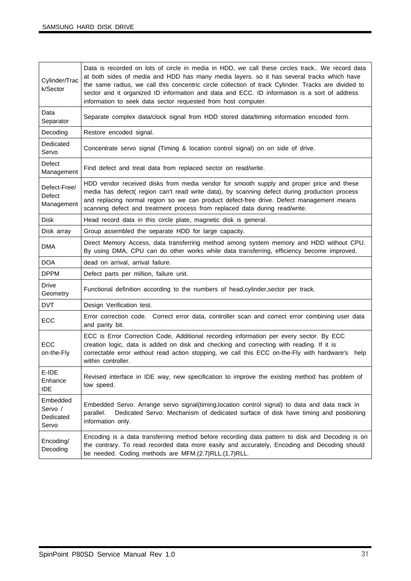| Cylinder/Trac<br>k/Sector                 | Data is recorded on lots of circle in media in HDD, we call these circles track We record data<br>at both sides of media and HDD has many media layers. so it has several tracks which have<br>the same radius, we call this concentric circle collection of track Cylinder. Tracks are divided to<br>sector and it organized ID information and data and ECC. ID information is a sort of address<br>information to seek data sector requested from host computer. |
|-------------------------------------------|---------------------------------------------------------------------------------------------------------------------------------------------------------------------------------------------------------------------------------------------------------------------------------------------------------------------------------------------------------------------------------------------------------------------------------------------------------------------|
| Data<br>Separator                         | Separate complex data/clock signal from HDD stored data/timing information encoded form.                                                                                                                                                                                                                                                                                                                                                                            |
| Decoding                                  | Restore encoded signal.                                                                                                                                                                                                                                                                                                                                                                                                                                             |
| Dedicated<br>Servo                        | Concentrate servo signal (Timing & location control signal) on on side of drive.                                                                                                                                                                                                                                                                                                                                                                                    |
| Defect<br>Management                      | Find defect and treat data from replaced sector on read/write.                                                                                                                                                                                                                                                                                                                                                                                                      |
| Defect-Free/<br>Defect<br>Management      | HDD vendor received disks from media vendor for smooth supply and proper price and these<br>media has defect( region can't read write data), by scanning defect during production process<br>and replacing normal region so we can product defect-free drive. Defect management means<br>scanning defect and treatment process from replaced data during read/write.                                                                                                |
| <b>Disk</b>                               | Head record data in this circle plate, magnetic disk is general.                                                                                                                                                                                                                                                                                                                                                                                                    |
| Disk array                                | Group assembled the separate HDD for large capacity.                                                                                                                                                                                                                                                                                                                                                                                                                |
| DMA                                       | Direct Memory Access, data transferring method among system memory and HDD without CPU.<br>By using DMA, CPU can do other works while data transferring, efficiency become improved.                                                                                                                                                                                                                                                                                |
| <b>DOA</b>                                | dead on arrival, arrival failure.                                                                                                                                                                                                                                                                                                                                                                                                                                   |
| <b>DPPM</b>                               | Defect parts per million, failure unit.                                                                                                                                                                                                                                                                                                                                                                                                                             |
| <b>Drive</b><br>Geometry                  | Functional definition according to the numbers of head, cylinder, sector per track.                                                                                                                                                                                                                                                                                                                                                                                 |
| <b>DVT</b>                                | Design Verification test.                                                                                                                                                                                                                                                                                                                                                                                                                                           |
| ECC                                       | Error correction code. Correct error data, controller scan and correct error combining user data<br>and parity bit.                                                                                                                                                                                                                                                                                                                                                 |
| ECC<br>on-the-Fly                         | ECC is Error Correction Code, Additional recording information per every sector. By ECC<br>creation logic, data is added on disk and checking and correcting with reading. If it is<br>correctable error without read action stopping, we call this ECC on-the-Fly with hardware's<br>help<br>within controller.                                                                                                                                                    |
| E-IDE<br>Enhance<br><b>IDE</b>            | Revised interface in IDE way, new specification to improve the existing method has problem of<br>low speed.                                                                                                                                                                                                                                                                                                                                                         |
| Embedded<br>Servo /<br>Dedicated<br>Servo | Embedded Servo: Arrange servo signal(timing, location control signal) to data and data track in<br>Dedicated Servo: Mechanism of dedicated surface of disk have timing and positioning<br>parallel.<br>information only.                                                                                                                                                                                                                                            |
| Encoding/<br>Decoding                     | Encoding is a data transferring method before recording data pattern to disk and Decoding is on<br>the contrary. To read recorded data more easily and accurately, Encoding and Decoding should<br>be needed. Coding methods are MFM.(2.7)RLL.(1.7)RLL.                                                                                                                                                                                                             |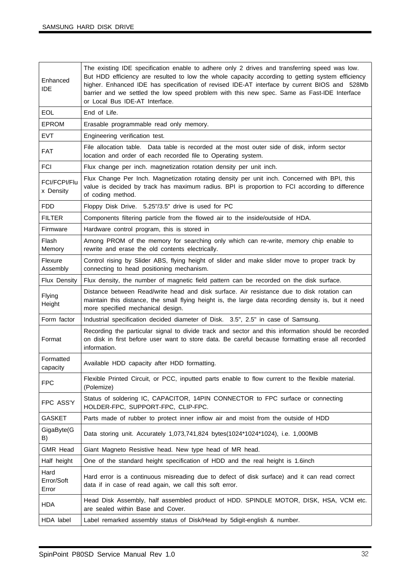| Enhanced<br><b>IDE</b>      | The existing IDE specification enable to adhere only 2 drives and transferring speed was low.<br>But HDD efficiency are resulted to low the whole capacity according to getting system efficiency<br>higher. Enhanced IDE has specification of revised IDE-AT interface by current BIOS and 528Mb<br>barrier and we settled the low speed problem with this new spec. Same as Fast-IDE Interface<br>or Local Bus IDE-AT Interface. |
|-----------------------------|------------------------------------------------------------------------------------------------------------------------------------------------------------------------------------------------------------------------------------------------------------------------------------------------------------------------------------------------------------------------------------------------------------------------------------|
| <b>EOL</b>                  | End of Life.                                                                                                                                                                                                                                                                                                                                                                                                                       |
| <b>EPROM</b>                | Erasable programmable read only memory.                                                                                                                                                                                                                                                                                                                                                                                            |
| <b>EVT</b>                  | Engineering verification test.                                                                                                                                                                                                                                                                                                                                                                                                     |
| <b>FAT</b>                  | File allocation table. Data table is recorded at the most outer side of disk, inform sector<br>location and order of each recorded file to Operating system.                                                                                                                                                                                                                                                                       |
| <b>FCI</b>                  | Flux change per inch. magnetization rotation density per unit inch.                                                                                                                                                                                                                                                                                                                                                                |
| FCI/FCPI/Flu<br>x Density   | Flux Change Per Inch. Magnetization rotating density per unit inch. Concerned with BPI, this<br>value is decided by track has maximum radius. BPI is proportion to FCI according to difference<br>of coding method.                                                                                                                                                                                                                |
| <b>FDD</b>                  | Floppy Disk Drive. 5.25"/3.5" drive is used for PC                                                                                                                                                                                                                                                                                                                                                                                 |
| <b>FILTER</b>               | Components filtering particle from the flowed air to the inside/outside of HDA.                                                                                                                                                                                                                                                                                                                                                    |
| Firmware                    | Hardware control program, this is stored in                                                                                                                                                                                                                                                                                                                                                                                        |
| Flash<br>Memory             | Among PROM of the memory for searching only which can re-write, memory chip enable to<br>rewrite and erase the old contents electrically.                                                                                                                                                                                                                                                                                          |
| Flexure<br>Assembly         | Control rising by Slider ABS, flying height of slider and make slider move to proper track by<br>connecting to head positioning mechanism.                                                                                                                                                                                                                                                                                         |
| Flux Density                | Flux density, the number of magnetic field pattern can be recorded on the disk surface.                                                                                                                                                                                                                                                                                                                                            |
| Flying<br>Height            | Distance between Read/write head and disk surface. Air resistance due to disk rotation can<br>maintain this distance, the small flying height is, the large data recording density is, but it need<br>more specified mechanical design.                                                                                                                                                                                            |
| Form factor                 | Industrial specification decided diameter of Disk. 3.5", 2.5" in case of Samsung.                                                                                                                                                                                                                                                                                                                                                  |
| Format                      | Recording the particular signal to divide track and sector and this information should be recorded<br>on disk in first before user want to store data. Be careful because formatting erase all recorded<br>information.                                                                                                                                                                                                            |
| Formatted<br>capacity       | Available HDD capacity after HDD formatting.                                                                                                                                                                                                                                                                                                                                                                                       |
| <b>FPC</b>                  | Flexible Printed Circuit, or PCC, inputted parts enable to flow current to the flexible material.<br>(Polemize)                                                                                                                                                                                                                                                                                                                    |
| FPC ASS'Y                   | Status of soldering IC, CAPACITOR, 14PIN CONNECTOR to FPC surface or connecting<br>HOLDER-FPC, SUPPORT-FPC, CLIP-FPC.                                                                                                                                                                                                                                                                                                              |
| <b>GASKET</b>               | Parts made of rubber to protect inner inflow air and moist from the outside of HDD                                                                                                                                                                                                                                                                                                                                                 |
| GigaByte(G<br>B)            | Data storing unit. Accurately 1,073,741,824 bytes(1024*1024*1024), i.e. 1,000MB                                                                                                                                                                                                                                                                                                                                                    |
| <b>GMR Head</b>             | Giant Magneto Resistive head. New type head of MR head.                                                                                                                                                                                                                                                                                                                                                                            |
| Half height                 | One of the standard height specification of HDD and the real height is 1.6inch                                                                                                                                                                                                                                                                                                                                                     |
| Hard<br>Error/Soft<br>Error | Hard error is a continuous misreading due to defect of disk surface) and it can read correct<br>data if in case of read again, we call this soft error.                                                                                                                                                                                                                                                                            |
| HDA                         | Head Disk Assembly, half assembled product of HDD. SPINDLE MOTOR, DISK, HSA, VCM etc.<br>are sealed within Base and Cover.                                                                                                                                                                                                                                                                                                         |
| HDA label                   | Label remarked assembly status of Disk/Head by 5digit-english & number.                                                                                                                                                                                                                                                                                                                                                            |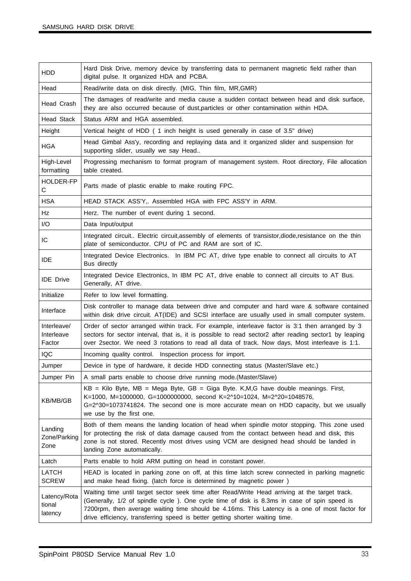| HDD.                                | Hard Disk Drive, memory device by transferring data to permanent magnetic field rather than                                                                                                                                                                                                                                                                                    |
|-------------------------------------|--------------------------------------------------------------------------------------------------------------------------------------------------------------------------------------------------------------------------------------------------------------------------------------------------------------------------------------------------------------------------------|
|                                     | digital pulse. It organized HDA and PCBA.                                                                                                                                                                                                                                                                                                                                      |
| Head                                | Read/write data on disk directly. (MIG, Thin film, MR, GMR)                                                                                                                                                                                                                                                                                                                    |
| Head Crash                          | The damages of read/write and media cause a sudden contact between head and disk surface,<br>they are also occurred because of dust, particles or other contamination within HDA.                                                                                                                                                                                              |
| <b>Head Stack</b>                   | Status ARM and HGA assembled.                                                                                                                                                                                                                                                                                                                                                  |
| Height                              | Vertical height of HDD (1 inch height is used generally in case of 3.5" drive)                                                                                                                                                                                                                                                                                                 |
| <b>HGA</b>                          | Head Gimbal Ass'y, recording and replaying data and it organized slider and suspension for<br>supporting slider, usually we say Head                                                                                                                                                                                                                                           |
| High-Level<br>formatting            | Progressing mechanism to format program of management system. Root directory, File allocation<br>table created.                                                                                                                                                                                                                                                                |
| HOLDER-FP<br>C                      | Parts made of plastic enable to make routing FPC.                                                                                                                                                                                                                                                                                                                              |
| <b>HSA</b>                          | HEAD STACK ASS'Y,. Assembled HGA with FPC ASS'Y in ARM.                                                                                                                                                                                                                                                                                                                        |
| Hz                                  | Herz. The number of event during 1 second.                                                                                                                                                                                                                                                                                                                                     |
| I/O                                 | Data Input/output                                                                                                                                                                                                                                                                                                                                                              |
| IC                                  | Integrated circuit Electric circuit, assembly of elements of transistor, diode, resistance on the thin<br>plate of semiconductor. CPU of PC and RAM are sort of IC.                                                                                                                                                                                                            |
| <b>IDE</b>                          | Integrated Device Electronics. In IBM PC AT, drive type enable to connect all circuits to AT<br>Bus directly                                                                                                                                                                                                                                                                   |
| <b>IDE</b> Drive                    | Integrated Device Electronics, In IBM PC AT, drive enable to connect all circuits to AT Bus.<br>Generally, AT drive.                                                                                                                                                                                                                                                           |
| Initialize                          | Refer to low level formatting.                                                                                                                                                                                                                                                                                                                                                 |
| Interface                           | Disk controller to manage data between drive and computer and hard ware & software contained<br>within disk drive circuit. AT(IDE) and SCSI interface are usually used in small computer system.                                                                                                                                                                               |
| Interleave/<br>Interleave<br>Factor | Order of sector arranged within track. For example, interleave factor is 3:1 then arranged by 3<br>sectors for sector interval, that is, it is possible to read sector2 after reading sector1 by leaping<br>over 2sector. We need 3 rotations to read all data of track. Now days, Most interleave is 1:1.                                                                     |
| <b>IQC</b>                          | Incoming quality control. Inspection process for import.                                                                                                                                                                                                                                                                                                                       |
| Jumper                              | Device in type of hardware, it decide HDD connecting status (Master/Slave etc.)                                                                                                                                                                                                                                                                                                |
| Jumper Pin                          | A small parts enable to choose drive running mode.(Master/Slave)                                                                                                                                                                                                                                                                                                               |
| KB/MB/GB                            | $KB = Kilo$ Byte, MB = Mega Byte, GB = Giga Byte. K, M, G have double meanings. First,<br>K=1000, M=1000000, G=1000000000, second K=2^10=1024, M=2^20=1048576,<br>G=2^30=1073741824. The second one is more accurate mean on HDD capacity, but we usually<br>we use by the first one.                                                                                          |
| Landing<br>Zone/Parking<br>Zone     | Both of them means the landing location of head when spindle motor stopping. This zone used<br>for protecting the risk of data damage caused from the contact between head and disk, this<br>zone is not stored. Recently most drives using VCM are designed head should be landed in<br>landing Zone automatically.                                                           |
| Latch                               | Parts enable to hold ARM putting on head in constant power.                                                                                                                                                                                                                                                                                                                    |
| <b>LATCH</b><br><b>SCREW</b>        | HEAD is located in parking zone on off, at this time latch screw connected in parking magnetic<br>and make head fixing. (latch force is determined by magnetic power)                                                                                                                                                                                                          |
| Latency/Rota<br>tional<br>latency   | Waiting time until target sector seek time after Read/Write Head arriving at the target track.<br>(Generally, 1/2 of spindle cycle). One cycle time of disk is 8.3ms in case of spin speed is<br>7200rpm, then average waiting time should be 4.16ms. This Latency is a one of most factor for<br>drive efficiency, transferring speed is better getting shorter waiting time. |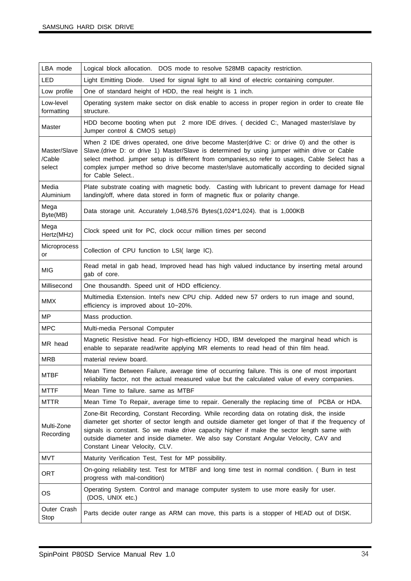| LBA mode                         | Logical block allocation. DOS mode to resolve 528MB capacity restriction.                                                                                                                                                                                                                                                                                                                                             |
|----------------------------------|-----------------------------------------------------------------------------------------------------------------------------------------------------------------------------------------------------------------------------------------------------------------------------------------------------------------------------------------------------------------------------------------------------------------------|
| LED                              | Light Emitting Diode. Used for signal light to all kind of electric containing computer.                                                                                                                                                                                                                                                                                                                              |
| Low profile                      | One of standard height of HDD, the real height is 1 inch.                                                                                                                                                                                                                                                                                                                                                             |
| Low-level<br>formatting          | Operating system make sector on disk enable to access in proper region in order to create file<br>structure.                                                                                                                                                                                                                                                                                                          |
| Master                           | HDD become booting when put 2 more IDE drives. (decided C:, Managed master/slave by<br>Jumper control & CMOS setup)                                                                                                                                                                                                                                                                                                   |
| Master/Slave<br>/Cable<br>select | When 2 IDE drives operated, one drive become Master(drive C: or drive 0) and the other is<br>Slave.(drive D: or drive 1) Master/Slave is determined by using jumper within drive or Cable<br>select method. jumper setup is different from companies, so refer to usages, Cable Select has a<br>complex jumper method so drive become master/slave automatically according to decided signal<br>for Cable Select      |
| Media<br>Aluminium               | Plate substrate coating with magnetic body. Casting with lubricant to prevent damage for Head<br>landing/off, where data stored in form of magnetic flux or polarity change.                                                                                                                                                                                                                                          |
| Mega<br>Byte(MB)                 | Data storage unit. Accurately 1,048,576 Bytes(1,024*1,024). that is 1,000KB                                                                                                                                                                                                                                                                                                                                           |
| Mega<br>Hertz(MHz)               | Clock speed unit for PC, clock occur million times per second                                                                                                                                                                                                                                                                                                                                                         |
| Microprocess<br>or               | Collection of CPU function to LSI( large IC).                                                                                                                                                                                                                                                                                                                                                                         |
| <b>MIG</b>                       | Read metal in gab head, Improved head has high valued inductance by inserting metal around<br>gab of core.                                                                                                                                                                                                                                                                                                            |
| Millisecond                      | One thousandth. Speed unit of HDD efficiency.                                                                                                                                                                                                                                                                                                                                                                         |
|                                  |                                                                                                                                                                                                                                                                                                                                                                                                                       |
| <b>MMX</b>                       | Multimedia Extension. Intel's new CPU chip. Added new 57 orders to run image and sound,<br>efficiency is improved about 10~20%.                                                                                                                                                                                                                                                                                       |
| MP                               | Mass production.                                                                                                                                                                                                                                                                                                                                                                                                      |
| <b>MPC</b>                       | Multi-media Personal Computer                                                                                                                                                                                                                                                                                                                                                                                         |
| MR head                          | Magnetic Resistive head. For high-efficiency HDD, IBM developed the marginal head which is<br>enable to separate read/write applying MR elements to read head of thin film head.                                                                                                                                                                                                                                      |
| <b>MRB</b>                       | material review board.                                                                                                                                                                                                                                                                                                                                                                                                |
| MTBF                             | Mean Time Between Failure, average time of occurring failure. This is one of most important<br>reliability factor, not the actual measured value but the calculated value of every companies.                                                                                                                                                                                                                         |
| MTTF                             | Mean Time to failure. same as MTBF                                                                                                                                                                                                                                                                                                                                                                                    |
| <b>MTTR</b>                      | Mean Time To Repair, average time to repair. Generally the replacing time of PCBA or HDA.                                                                                                                                                                                                                                                                                                                             |
| Multi-Zone<br>Recording          | Zone-Bit Recording, Constant Recording. While recording data on rotating disk, the inside<br>diameter get shorter of sector length and outside diameter get longer of that if the frequency of<br>signals is constant. So we make drive capacity higher if make the sector length same with<br>outside diameter and inside diameter. We also say Constant Angular Velocity, CAV and<br>Constant Linear Velocity, CLV. |
| <b>MVT</b>                       | Maturity Verification Test, Test for MP possibility.                                                                                                                                                                                                                                                                                                                                                                  |
| ORT                              | On-going reliability test. Test for MTBF and long time test in normal condition. ( Burn in test<br>progress with mal-condition)                                                                                                                                                                                                                                                                                       |
| OS                               | Operating System. Control and manage computer system to use more easily for user.<br>(DOS, UNIX etc.)                                                                                                                                                                                                                                                                                                                 |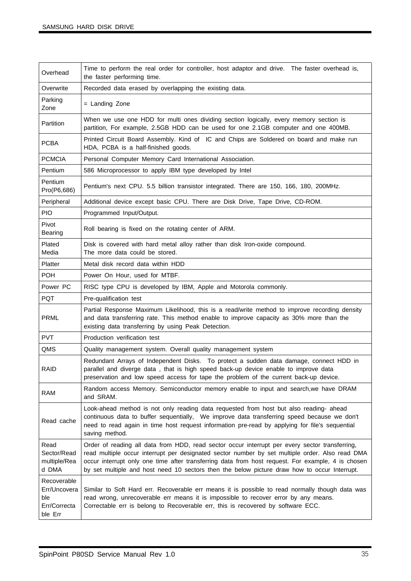| Overhead                                                      | Time to perform the real order for controller, host adaptor and drive. The faster overhead is,<br>the faster performing time.                                                                                                                                                                                                                                                                          |
|---------------------------------------------------------------|--------------------------------------------------------------------------------------------------------------------------------------------------------------------------------------------------------------------------------------------------------------------------------------------------------------------------------------------------------------------------------------------------------|
| Overwrite                                                     | Recorded data erased by overlapping the existing data.                                                                                                                                                                                                                                                                                                                                                 |
| Parking<br>Zone                                               | = Landing Zone                                                                                                                                                                                                                                                                                                                                                                                         |
| Partition                                                     | When we use one HDD for multi ones dividing section logically, every memory section is<br>partition, For example, 2.5GB HDD can be used for one 2.1GB computer and one 400MB.                                                                                                                                                                                                                          |
| <b>PCBA</b>                                                   | Printed Circuit Board Assembly. Kind of IC and Chips are Soldered on board and make run<br>HDA, PCBA is a half-finished goods.                                                                                                                                                                                                                                                                         |
| <b>PCMCIA</b>                                                 | Personal Computer Memory Card International Association.                                                                                                                                                                                                                                                                                                                                               |
| Pentium                                                       | 586 Microprocessor to apply IBM type developed by Intel                                                                                                                                                                                                                                                                                                                                                |
| Pentium<br>Pro(P6,686)                                        | Pentium's next CPU. 5.5 billion transistor integrated. There are 150, 166, 180, 200MHz.                                                                                                                                                                                                                                                                                                                |
| Peripheral                                                    | Additional device except basic CPU. There are Disk Drive, Tape Drive, CD-ROM.                                                                                                                                                                                                                                                                                                                          |
| <b>PIO</b>                                                    | Programmed Input/Output.                                                                                                                                                                                                                                                                                                                                                                               |
| Pivot<br>Bearing                                              | Roll bearing is fixed on the rotating center of ARM.                                                                                                                                                                                                                                                                                                                                                   |
| Plated<br>Media                                               | Disk is covered with hard metal alloy rather than disk Iron-oxide compound.<br>The more data could be stored.                                                                                                                                                                                                                                                                                          |
| <b>Platter</b>                                                | Metal disk record data within HDD                                                                                                                                                                                                                                                                                                                                                                      |
| <b>POH</b>                                                    | Power On Hour, used for MTBF.                                                                                                                                                                                                                                                                                                                                                                          |
| Power PC                                                      | RISC type CPU is developed by IBM, Apple and Motorola commonly.                                                                                                                                                                                                                                                                                                                                        |
| <b>PQT</b>                                                    | Pre-qualification test                                                                                                                                                                                                                                                                                                                                                                                 |
| <b>PRML</b>                                                   | Partial Response Maximum Likelihood, this is a read/write method to improve recording density<br>and data transferring rate. This method enable to improve capacity as 30% more than the<br>existing data transferring by using Peak Detection.                                                                                                                                                        |
| <b>PVT</b>                                                    | Production verification test                                                                                                                                                                                                                                                                                                                                                                           |
| QMS                                                           | Quality management system. Overall quality management system                                                                                                                                                                                                                                                                                                                                           |
| RAID                                                          | Redundant Arrays of Independent Disks. To protect a sudden data damage, connect HDD in<br>parallel and diverge data, that is high speed back-up device enable to improve data<br>preservation and low speed access for tape the problem of the current back-up device.                                                                                                                                 |
| <b>RAM</b>                                                    | Random access Memory. Semiconductor memory enable to input and search, we have DRAM<br>and SRAM.                                                                                                                                                                                                                                                                                                       |
| Read cache                                                    | Look-ahead method is not only reading data requested from host but also reading- ahead<br>continuous data to buffer sequentially, We improve data transferring speed because we don't<br>need to read again in time host request information pre-read by applying for file's sequential<br>saving method.                                                                                              |
| Read<br>Sector/Read<br>multiple/Rea<br>d DMA                  | Order of reading all data from HDD, read sector occur interrupt per every sector transferring,<br>read multiple occur interrupt per designated sector number by set multiple order. Also read DMA<br>occur interrupt only one time after transferring data from host request. For example, 4 is chosen<br>by set multiple and host need 10 sectors then the below picture draw how to occur Interrupt. |
| Recoverable<br>Err/Uncovera<br>ble<br>Err/Correcta<br>ble Err | Similar to Soft Hard err. Recoverable err means it is possible to read normally though data was<br>read wrong, unrecoverable err means it is impossible to recover error by any means.<br>Correctable err is belong to Recoverable err, this is recovered by software ECC.                                                                                                                             |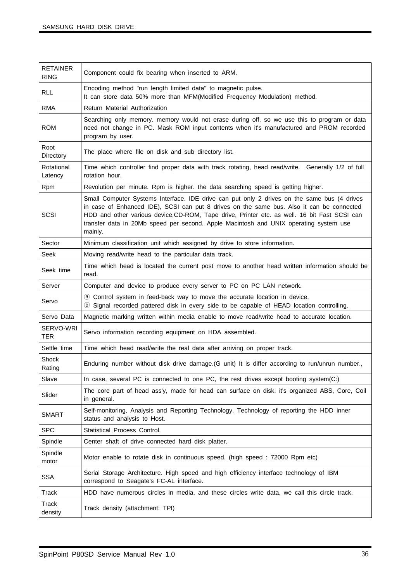| <b>RETAINER</b><br><b>RING</b> | Component could fix bearing when inserted to ARM.                                                                                                                                                                                                                                                                                                                                            |
|--------------------------------|----------------------------------------------------------------------------------------------------------------------------------------------------------------------------------------------------------------------------------------------------------------------------------------------------------------------------------------------------------------------------------------------|
| <b>RLL</b>                     | Encoding method "run length limited data" to magnetic pulse.<br>It can store data 50% more than MFM(Modified Frequency Modulation) method.                                                                                                                                                                                                                                                   |
| <b>RMA</b>                     | Return Material Authorization                                                                                                                                                                                                                                                                                                                                                                |
| <b>ROM</b>                     | Searching only memory. memory would not erase during off, so we use this to program or data<br>need not change in PC. Mask ROM input contents when it's manufactured and PROM recorded<br>program by user.                                                                                                                                                                                   |
| Root<br>Directory              | The place where file on disk and sub directory list.                                                                                                                                                                                                                                                                                                                                         |
| Rotational<br>Latency          | Time which controller find proper data with track rotating, head read/write. Generally 1/2 of full<br>rotation hour.                                                                                                                                                                                                                                                                         |
| Rpm                            | Revolution per minute. Rpm is higher. the data searching speed is getting higher.                                                                                                                                                                                                                                                                                                            |
| SCSI                           | Small Computer Systems Interface. IDE drive can put only 2 drives on the same bus (4 drives<br>in case of Enhanced IDE), SCSI can put 8 drives on the same bus. Also it can be connected<br>HDD and other various device, CD-ROM, Tape drive, Printer etc. as well. 16 bit Fast SCSI can<br>transfer data in 20Mb speed per second. Apple Macintosh and UNIX operating system use<br>mainly. |
| Sector                         | Minimum classification unit which assigned by drive to store information.                                                                                                                                                                                                                                                                                                                    |
| Seek                           | Moving read/write head to the particular data track.                                                                                                                                                                                                                                                                                                                                         |
| Seek time                      | Time which head is located the current post move to another head written information should be<br>read.                                                                                                                                                                                                                                                                                      |
| Server                         | Computer and device to produce every server to PC on PC LAN network.                                                                                                                                                                                                                                                                                                                         |
| Servo                          | @ Control system in feed-back way to move the accurate location in device,<br><b>(b)</b> Signal recorded pattered disk in every side to be capable of HEAD location controlling.                                                                                                                                                                                                             |
| Servo Data                     | Magnetic marking written within media enable to move read/write head to accurate location.                                                                                                                                                                                                                                                                                                   |
| SERVO-WRI<br><b>TER</b>        | Servo information recording equipment on HDA assembled.                                                                                                                                                                                                                                                                                                                                      |
| Settle time                    | Time which head read/write the real data after arriving on proper track.                                                                                                                                                                                                                                                                                                                     |
| Shock<br>Rating                | Enduring number without disk drive damage. (G unit) It is differ according to run/unrun number.,                                                                                                                                                                                                                                                                                             |
| Slave                          | In case, several PC is connected to one PC, the rest drives except booting system(C:)                                                                                                                                                                                                                                                                                                        |
| Slider                         | The core part of head ass'y, made for head can surface on disk, it's organized ABS, Core, Coil<br>in general.                                                                                                                                                                                                                                                                                |
| <b>SMART</b>                   | Self-monitoring, Analysis and Reporting Technology. Technology of reporting the HDD inner<br>status and analysis to Host.                                                                                                                                                                                                                                                                    |
| <b>SPC</b>                     | Statistical Process Control.                                                                                                                                                                                                                                                                                                                                                                 |
| Spindle                        | Center shaft of drive connected hard disk platter.                                                                                                                                                                                                                                                                                                                                           |
| Spindle<br>motor               | Motor enable to rotate disk in continuous speed. (high speed : 72000 Rpm etc)                                                                                                                                                                                                                                                                                                                |
| <b>SSA</b>                     | Serial Storage Architecture. High speed and high efficiency interface technology of IBM<br>correspond to Seagate's FC-AL interface.                                                                                                                                                                                                                                                          |
| Track                          | HDD have numerous circles in media, and these circles write data, we call this circle track.                                                                                                                                                                                                                                                                                                 |
| <b>Track</b><br>density        | Track density (attachment: TPI)                                                                                                                                                                                                                                                                                                                                                              |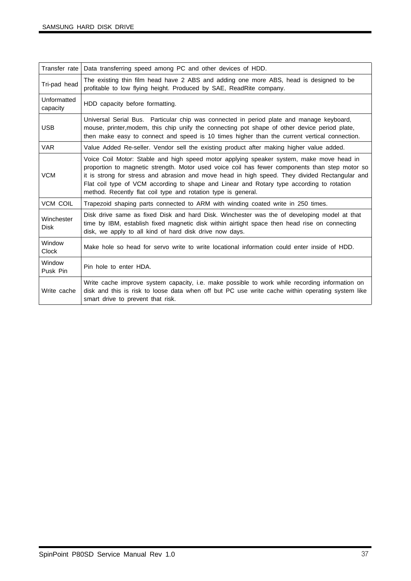| Transfer rate             | Data transferring speed among PC and other devices of HDD.                                                                                                                                                                                                                                                                                                                                                                                                 |
|---------------------------|------------------------------------------------------------------------------------------------------------------------------------------------------------------------------------------------------------------------------------------------------------------------------------------------------------------------------------------------------------------------------------------------------------------------------------------------------------|
| Tri-pad head              | The existing thin film head have 2 ABS and adding one more ABS, head is designed to be<br>profitable to low flying height. Produced by SAE, ReadRite company.                                                                                                                                                                                                                                                                                              |
| Unformatted<br>capacity   | HDD capacity before formatting.                                                                                                                                                                                                                                                                                                                                                                                                                            |
| <b>USB</b>                | Universal Serial Bus. Particular chip was connected in period plate and manage keyboard,<br>mouse, printer, modem, this chip unify the connecting pot shape of other device period plate,<br>then make easy to connect and speed is 10 times higher than the current vertical connection.                                                                                                                                                                  |
| <b>VAR</b>                | Value Added Re-seller. Vendor sell the existing product after making higher value added.                                                                                                                                                                                                                                                                                                                                                                   |
| <b>VCM</b>                | Voice Coil Motor: Stable and high speed motor applying speaker system, make move head in<br>proportion to magnetic strength. Motor used voice coil has fewer components than step motor so<br>it is strong for stress and abrasion and move head in high speed. They divided Rectangular and<br>Flat coil type of VCM according to shape and Linear and Rotary type according to rotation<br>method. Recently flat coil type and rotation type is general. |
| <b>VCM COIL</b>           | Trapezoid shaping parts connected to ARM with winding coated write in 250 times.                                                                                                                                                                                                                                                                                                                                                                           |
| Winchester<br><b>Disk</b> | Disk drive same as fixed Disk and hard Disk. Winchester was the of developing model at that<br>time by IBM, establish fixed magnetic disk within airtight space then head rise on connecting<br>disk, we apply to all kind of hard disk drive now days.                                                                                                                                                                                                    |
| Window<br>Clock           | Make hole so head for servo write to write locational information could enter inside of HDD.                                                                                                                                                                                                                                                                                                                                                               |
| Window<br>Pusk Pin        | Pin hole to enter HDA.                                                                                                                                                                                                                                                                                                                                                                                                                                     |
| Write cache               | Write cache improve system capacity, i.e. make possible to work while recording information on<br>disk and this is risk to loose data when off but PC use write cache within operating system like<br>smart drive to prevent that risk.                                                                                                                                                                                                                    |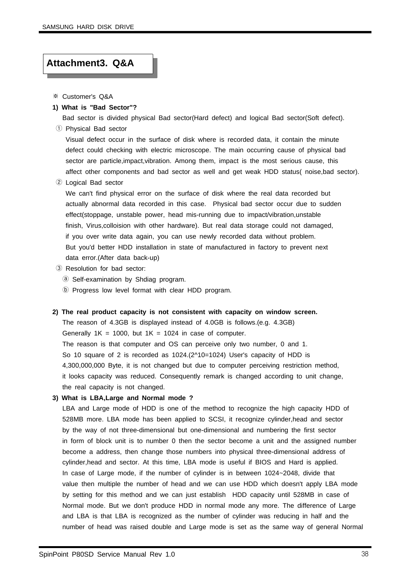#### **Attachment3. Q&A**

- ※ Customer's Q&A
- **1) What is "Bad Sector"?**

Bad sector is divided physical Bad sector(Hard defect) and logical Bad sector(Soft defect). ① Physical Bad sector

Visual defect occur in the surface of disk where is recorded data, it contain the minute defect could checking with electric microscope. The main occurring cause of physical bad sector are particle,impact,vibration. Among them, impact is the most serious cause, this affect other components and bad sector as well and get weak HDD status( noise,bad sector).

② Logical Bad sector

We can't find physical error on the surface of disk where the real data recorded but actually abnormal data recorded in this case. Physical bad sector occur due to sudden effect(stoppage, unstable power, head mis-running due to impact/vibration,unstable finish, Virus,colloision with other hardware). But real data storage could not damaged, if you over write data again, you can use newly recorded data without problem. But you'd better HDD installation in state of manufactured in factory to prevent next data error.(After data back-up)

- ③ Resolution for bad sector:
	- ⓐ Self-examination by Shdiag program.
	- ⓑ Progress low level format with clear HDD program.

#### **2) The real product capacity is not consistent with capacity on window screen.**

The reason of 4.3GB is displayed instead of 4.0GB is follows.(e.g. 4.3GB) Generally  $1K = 1000$ , but  $1K = 1024$  in case of computer. The reason is that computer and OS can perceive only two number, 0 and 1. So 10 square of 2 is recorded as 1024.(2^10=1024) User's capacity of HDD is 4,300,000,000 Byte, it is not changed but due to computer perceiving restriction method, it looks capacity was reduced. Consequently remark is changed according to unit change, the real capacity is not changed.

#### **3) What is LBA,Large and Normal mode ?**

LBA and Large mode of HDD is one of the method to recognize the high capacity HDD of 528MB more. LBA mode has been applied to SCSI, it recognize cylinder,head and sector by the way of not three-dimensional but one-dimensional and numbering the first sector in form of block unit is to number 0 then the sector become a unit and the assigned number become a address, then change those numbers into physical three-dimensional address of cylinder,head and sector. At this time, LBA mode is useful if BIOS and Hard is applied. In case of Large mode, if the number of cylinder is in between 1024~2048, divide that value then multiple the number of head and we can use HDD which doesn't apply LBA mode by setting for this method and we can just establish HDD capacity until 528MB in case of Normal mode. But we don't produce HDD in normal mode any more. The difference of Large and LBA is that LBA is recognized as the number of cylinder was reducing in half and the number of head was raised double and Large mode is set as the same way of general Normal